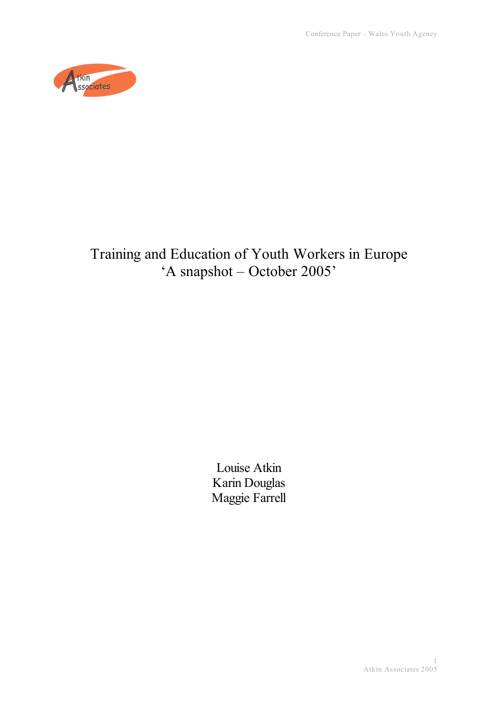

# Training and Education of Youth Workers in Europe 'A snapshot – October 2005'

Louise Atkin Karin Douglas Maggie Farrell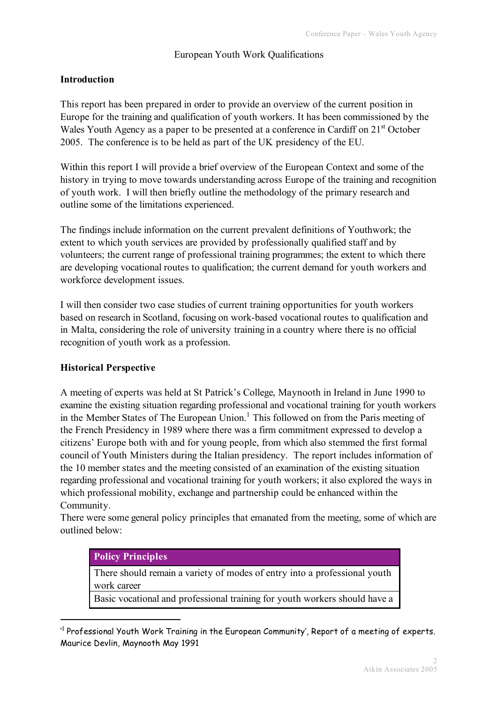## European Youth Work Qualifications

#### **Introduction**

This report has been prepared in order to provide an overview of the current position in Europe for the training and qualification of youth workers. It has been commissioned by the Wales Youth Agency as a paper to be presented at a conference in Cardiff on 21<sup>st</sup> October 2005. The conference is to be held as part of the UK presidency of the EU.

Within this report I will provide a brief overview of the European Context and some of the history in trying to move towards understanding across Europe of the training and recognition of youth work. I will then briefly outline the methodology of the primary research and outline some of the limitations experienced.

The findings include information on the current prevalent definitions of Youthwork; the extent to which youth services are provided by professionally qualified staff and by volunteers; the current range of professional training programmes; the extent to which there are developing vocational routes to qualification; the current demand for youth workers and workforce development issues.

I will then consider two case studies of current training opportunities for youth workers based on research in Scotland, focusing on work-based vocational routes to qualification and in Malta, considering the role of university training in a country where there is no official recognition of youth work as a profession.

#### **Historical Perspective**

A meeting of experts was held at St Patrick's College, Maynooth in Ireland in June 1990 to examine the existing situation regarding professional and vocational training for youth workers in the Member States of The European Union.<sup>1</sup> This followed on from the Paris meeting of the French Presidency in 1989 where there was a firm commitment expressed to develop a citizens' Europe both with and for young people, from which also stemmed the first formal council of Youth Ministers during the Italian presidency. The report includes information of the 10 member states and the meeting consisted of an examination of the existing situation regarding professional and vocational training for youth workers; it also explored the ways in which professional mobility, exchange and partnership could be enhanced within the Community.

There were some general policy principles that emanated from the meeting, some of which are outlined below:

#### **Policy Principles**

 $\overline{a}$ 

There should remain a variety of modes of entry into a professional youth work career

Basic vocational and professional training for youth workers should have a

<sup>&#</sup>x27; <sup>1</sup> Professional Youth Work Training in the European Community', Report of a meeting of experts. Maurice Devlin, Maynooth May 1991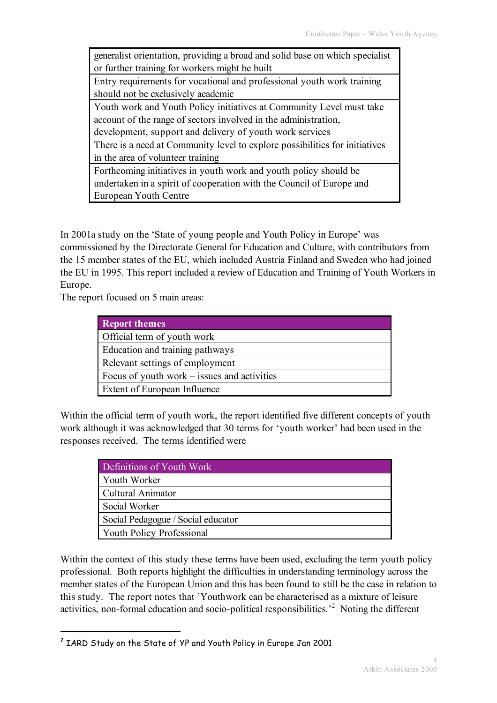generalist orientation, providing a broad and solid base on which specialist or further training for workers might be built

Entry requirements for vocational and professional youth work training should not be exclusively academic

Youth work and Youth Policy initiatives at Community Level must take account of the range of sectors involved in the administration,

development, support and delivery of youth work services

There is a need at Community level to explore possibilities for initiatives in the area of volunteer training

Forthcoming initiatives in youth work and youth policy should be undertaken in a spirit of cooperation with the Council of Europe and European Youth Centre

In 2001a study on the 'State of young people and Youth Policy in Europe' was commissioned by the Directorate General for Education and Culture, with contributors from the 15 member states of the EU, which included Austria Finland and Sweden who had joined the EU in 1995. This report included a review of Education and Training of Youth Workers in Europe.

The report focused on 5 main areas:

| <b>Report themes</b>                        |
|---------------------------------------------|
| Official term of youth work                 |
| Education and training pathways             |
| Relevant settings of employment             |
| Focus of youth work – issues and activities |
| Extent of European Influence                |

Within the official term of youth work, the report identified five different concepts of youth work although it was acknowledged that 30 terms for 'youth worker' had been used in the responses received. The terms identified were

| Definitions of Youth Work          |
|------------------------------------|
| Youth Worker                       |
| Cultural Animator                  |
| Social Worker                      |
| Social Pedagogue / Social educator |
| <b>Youth Policy Professional</b>   |

Within the context of this study these terms have been used, excluding the term youth policy professional. Both reports highlight the difficulties in understanding terminology across the member states of the European Union and this has been found to still be the case in relation to this study. The report notes that 'Youthwork can be characterised as a mixture of leisure activities, non-formal education and socio-political responsibilities.<sup>2</sup> Noting the different

 <sup>2</sup> IARD Study on the State of YP and Youth Policy in Europe Jan <sup>2001</sup>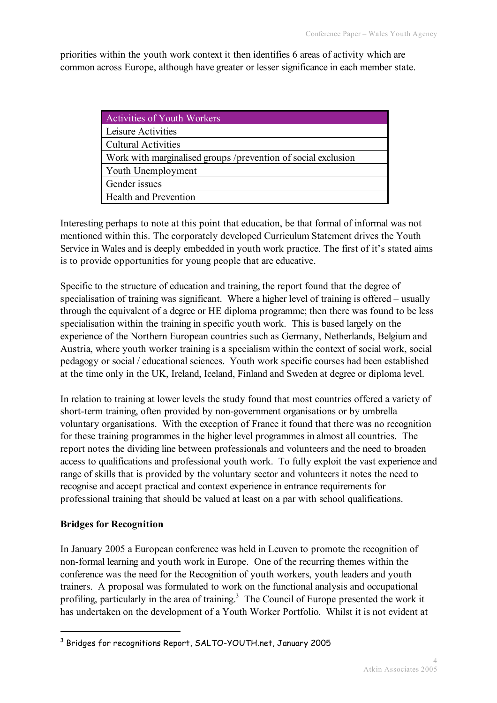priorities within the youth work context it then identifies 6 areas of activity which are common across Europe, although have greater or lesser significance in each member state.

| <b>Activities of Youth Workers</b>                            |
|---------------------------------------------------------------|
| Leisure Activities                                            |
| <b>Cultural Activities</b>                                    |
| Work with marginalised groups /prevention of social exclusion |
| Youth Unemployment                                            |
| Gender issues                                                 |
| <b>Health and Prevention</b>                                  |

Interesting perhaps to note at this point that education, be that formal of informal was not mentioned within this. The corporately developed Curriculum Statement drives the Youth Service in Wales and is deeply embedded in youth work practice. The first of it's stated aims is to provide opportunities for young people that are educative.

Specific to the structure of education and training, the report found that the degree of specialisation of training was significant. Where a higher level of training is offered – usually through the equivalent of a degree or HE diploma programme; then there was found to be less specialisation within the training in specific youth work. This is based largely on the experience of the Northern European countries such as Germany, Netherlands, Belgium and Austria, where youth worker training is a specialism within the context of social work, social pedagogy or social / educational sciences. Youth work specific courses had been established at the time only in the UK, Ireland, Iceland, Finland and Sweden at degree or diploma level.

In relation to training at lower levels the study found that most countries offered a variety of short-term training, often provided by non-government organisations or by umbrella voluntary organisations. With the exception of France it found that there was no recognition for these training programmes in the higher level programmes in almost all countries. The report notes the dividing line between professionals and volunteers and the need to broaden access to qualifications and professional youth work. To fully exploit the vast experience and range of skills that is provided by the voluntary sector and volunteers it notes the need to recognise and accept practical and context experience in entrance requirements for professional training that should be valued at least on a par with school qualifications.

# **Bridges for Recognition**

In January 2005 a European conference was held in Leuven to promote the recognition of non-formal learning and youth work in Europe. One of the recurring themes within the conference was the need for the Recognition of youth workers, youth leaders and youth trainers. A proposal was formulated to work on the functional analysis and occupational profiling, particularly in the area of training.<sup>3</sup> The Council of Europe presented the work it has undertaken on the development of a Youth Worker Portfolio. Whilst it is not evident at

 <sup>3</sup> Bridges for recognitions Report, SALTO-YOUTH.net, January <sup>2005</sup>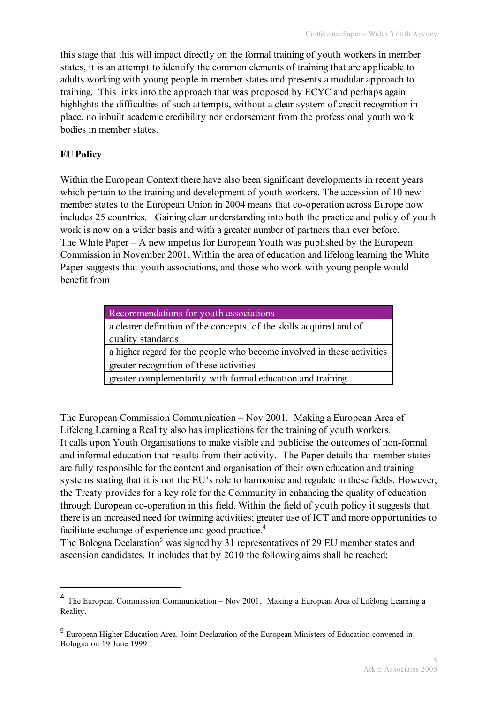this stage that this will impact directly on the formal training of youth workers in member states, it is an attempt to identify the common elements of training that are applicable to adults working with young people in member states and presents a modular approach to training. This links into the approach that was proposed by ECYC and perhaps again highlights the difficulties of such attempts, without a clear system of credit recognition in place, no inbuilt academic credibility nor endorsement from the professional youth work bodies in member states.

# **EU Policy**

Within the European Context there have also been significant developments in recent years which pertain to the training and development of youth workers. The accession of 10 new member states to the European Union in 2004 means that co-operation across Europe now includes 25 countries. Gaining clear understanding into both the practice and policy of youth work is now on a wider basis and with a greater number of partners than ever before. The White Paper – A new impetus for European Youth was published by the European Commission in November 2001. Within the area of education and lifelong learning the White Paper suggests that youth associations, and those who work with young people would benefit from

| Recommendations for youth associations                                 |
|------------------------------------------------------------------------|
| a clearer definition of the concepts, of the skills acquired and of    |
| quality standards                                                      |
| a higher regard for the people who become involved in these activities |
| greater recognition of these activities                                |
| greater complementarity with formal education and training             |

The European Commission Communication – Nov 2001. Making a European Area of Lifelong Learning a Reality also has implications for the training of youth workers. It calls upon Youth Organisations to make visible and publicise the outcomes of non-formal and informal education that results from their activity. The Paper details that member states are fully responsible for the content and organisation of their own education and training systems stating that it is not the EU's role to harmonise and regulate in these fields. However, the Treaty provides for a key role for the Community in enhancing the quality of education through European co-operation in this field. Within the field of youth policy it suggests that there is an increased need for twinning activities; greater use of ICT and more opportunities to facilitate exchange of experience and good practice.<sup>4</sup>

The Bologna Declaration<sup>5</sup> was signed by 31 representatives of 29 EU member states and ascension candidates. It includes that by 2010 the following aims shall be reached:

 <sup>4</sup> The European Commission Communication – Nov 2001. Making <sup>a</sup> European Area of Lifelong Learning <sup>a</sup> Reality.

<sup>5</sup> European Higher Education Area. Joint Declaration of the European Ministers of Education convened in Bologna on 19 June 1999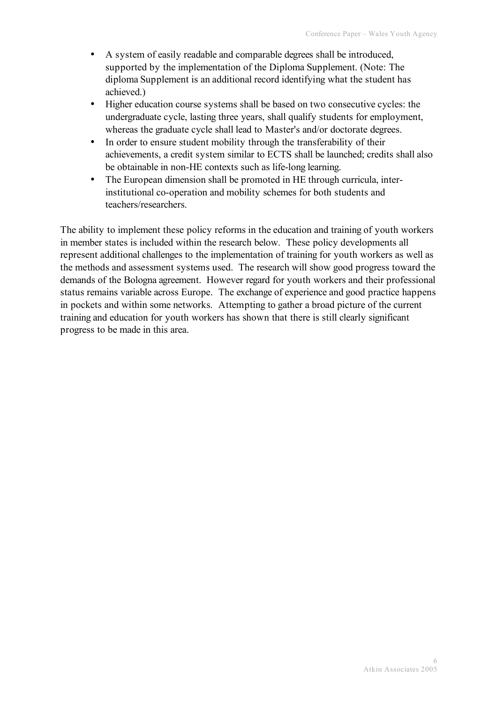- A system of easily readable and comparable degrees shall be introduced, supported by the implementation of the Diploma Supplement. (Note: The diploma Supplement is an additional record identifying what the student has achieved.)
- Higher education course systems shall be based on two consecutive cycles: the undergraduate cycle, lasting three years, shall qualify students for employment, whereas the graduate cycle shall lead to Master's and/or doctorate degrees.
- In order to ensure student mobility through the transferability of their achievements, a credit system similar to ECTS shall be launched; credits shall also be obtainable in non-HE contexts such as life-long learning.
- The European dimension shall be promoted in HE through curricula, interinstitutional co-operation and mobility schemes for both students and teachers/researchers.

The ability to implement these policy reforms in the education and training of youth workers in member states is included within the research below. These policy developments all represent additional challenges to the implementation of training for youth workers as well as the methods and assessment systems used. The research will show good progress toward the demands of the Bologna agreement. However regard for youth workers and their professional status remains variable across Europe. The exchange of experience and good practice happens in pockets and within some networks. Attempting to gather a broad picture of the current training and education for youth workers has shown that there is still clearly significant progress to be made in this area.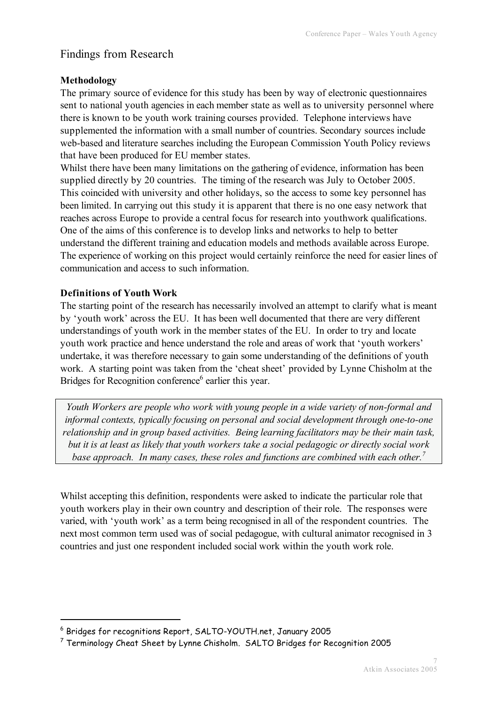# Findings from Research

# **Methodology**

The primary source of evidence for this study has been by way of electronic questionnaires sent to national youth agencies in each member state as well as to university personnel where there is known to be youth work training courses provided. Telephone interviews have supplemented the information with a small number of countries. Secondary sources include web-based and literature searches including the European Commission Youth Policy reviews that have been produced for EU member states.

Whilst there have been many limitations on the gathering of evidence, information has been supplied directly by 20 countries. The timing of the research was July to October 2005. This coincided with university and other holidays, so the access to some key personnel has been limited. In carrying out this study it is apparent that there is no one easy network that reaches across Europe to provide a central focus for research into youthwork qualifications. One of the aims of this conference is to develop links and networks to help to better understand the different training and education models and methods available across Europe. The experience of working on this project would certainly reinforce the need for easier lines of communication and access to such information.

# **Definitions of Youth Work**

The starting point of the research has necessarily involved an attempt to clarify what is meant by 'youth work' across the EU. It has been well documented that there are very different understandings of youth work in the member states of the EU. In order to try and locate youth work practice and hence understand the role and areas of work that 'youth workers' undertake, it was therefore necessary to gain some understanding of the definitions of youth work. A starting point was taken from the 'cheat sheet' provided by Lynne Chisholm at the Bridges for Recognition conference $<sup>6</sup>$  earlier this year.</sup>

*Youth Workers are people who work with young people in a wide variety of non-formal and informal contexts, typically focusing on personal and social development through one-to-one relationship and in group based activities. Being learning facilitators may be their main task, but it is at least as likely that youth workers take a social pedagogic or directly social work base approach. In many cases, these roles and functions are combined with each other. 7*

Whilst accepting this definition, respondents were asked to indicate the particular role that youth workers play in their own country and description of their role. The responses were varied, with 'youth work' as a term being recognised in all of the respondent countries. The next most common term used was of social pedagogue, with cultural animator recognised in 3 countries and just one respondent included social work within the youth work role.

 <sup>6</sup> Bridges for recognitions Report, SALTO-YOUTH.net, January <sup>2005</sup>

<sup>7</sup> Terminology Cheat Sheet by Lynne Chisholm. SALTO Bridges for Recognition 2005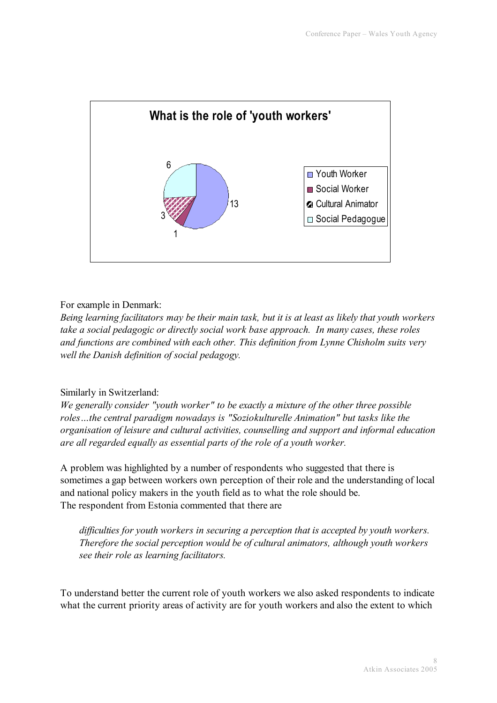

# For example in Denmark:

*Being learning facilitators may be their main task, but it is at least as likely that youth workers take a social pedagogic or directly social work base approach. In many cases, these roles and functions are combined with each other. This definition from Lynne Chisholm suits very well the Danish definition of social pedagogy.*

# Similarly in Switzerland:

*We generally consider "youth worker" to be exactly a mixture of the other three possible roles…the central paradigm nowadays is "Soziokulturelle Animation" but tasks like the organisation of leisure and cultural activities, counselling and support and informal education are all regarded equally as essential parts of the role of a youth worker.*

A problem was highlighted by a number of respondents who suggested that there is sometimes a gap between workers own perception of their role and the understanding of local and national policy makers in the youth field as to what the role should be. The respondent from Estonia commented that there are

*difficulties for youth workers in securing a perception that is accepted by youth workers. Therefore the social perception would be of cultural animators, although youth workers see their role as learning facilitators.*

To understand better the current role of youth workers we also asked respondents to indicate what the current priority areas of activity are for youth workers and also the extent to which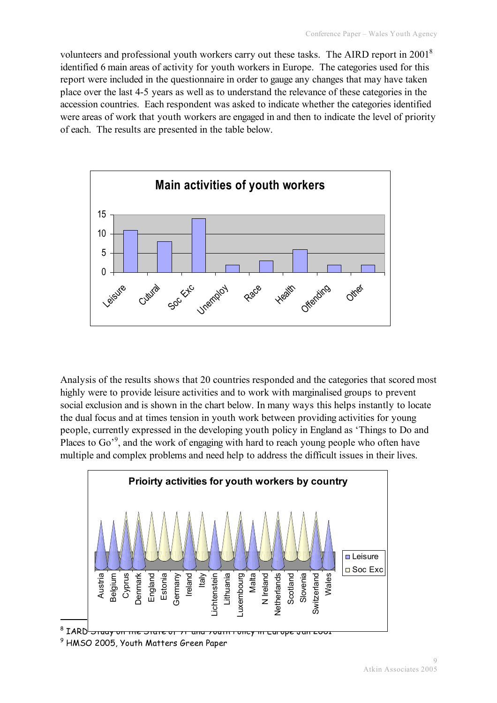volunteers and professional youth workers carry out these tasks. The AIRD report in 20018 identified 6 main areas of activity for youth workers in Europe. The categories used for this report were included in the questionnaire in order to gauge any changes that may have taken place over the last 4-5 years as well as to understand the relevance of these categories in the accession countries. Each respondent was asked to indicate whether the categories identified were areas of work that youth workers are engaged in and then to indicate the level of priority of each. The results are presented in the table below.



Analysis of the results shows that 20 countries responded and the categories that scored most highly were to provide leisure activities and to work with marginalised groups to prevent social exclusion and is shown in the chart below. In many ways this helps instantly to locate the dual focus and at times tension in youth work between providing activities for young people, currently expressed in the developing youth policy in England as 'Things to Do and Places to  $Go^3$ , and the work of engaging with hard to reach young people who often have multiple and complex problems and need help to address the difficult issues in their lives.



<sup>9</sup> HMSO 2005, Youth Matters Green Paper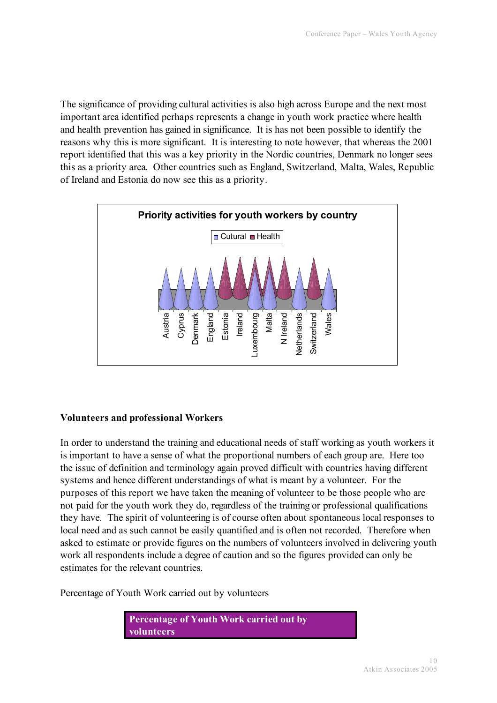The significance of providing cultural activities is also high across Europe and the next most important area identified perhaps represents a change in youth work practice where health and health prevention has gained in significance. It is has not been possible to identify the reasons why this is more significant. It is interesting to note however, that whereas the 2001 report identified that this was a key priority in the Nordic countries, Denmark no longer sees this as a priority area. Other countries such as England, Switzerland, Malta, Wales, Republic of Ireland and Estonia do now see this as a priority.



# **Volunteers and professional Workers**

In order to understand the training and educational needs of staff working as youth workers it is important to have a sense of what the proportional numbers of each group are. Here too the issue of definition and terminology again proved difficult with countries having different systems and hence different understandings of what is meant by a volunteer. For the purposes of this report we have taken the meaning of volunteer to be those people who are not paid for the youth work they do, regardless of the training or professional qualifications they have. The spirit of volunteering is of course often about spontaneous local responses to local need and as such cannot be easily quantified and is often not recorded. Therefore when asked to estimate or provide figures on the numbers of volunteers involved in delivering youth work all respondents include a degree of caution and so the figures provided can only be estimates for the relevant countries.

Percentage of Youth Work carried out by volunteers

**Percentage of Youth Work carried out by volunteers**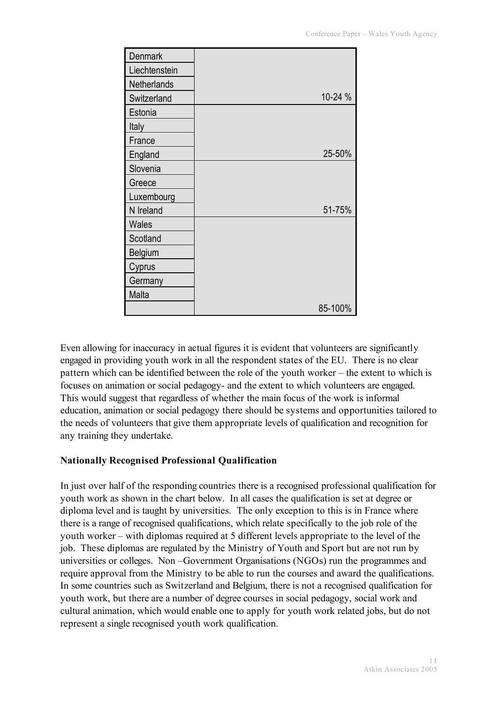| <b>Denmark</b> |         |
|----------------|---------|
| Liechtenstein  |         |
| Netherlands    |         |
| Switzerland    | 10-24 % |
| Estonia        |         |
| Italy          |         |
| France         |         |
| England        | 25-50%  |
| Slovenia       |         |
| Greece         |         |
| Luxembourg     |         |
| N Ireland      | 51-75%  |
| <b>Wales</b>   |         |
| Scotland       |         |
| Belgium        |         |
| Cyprus         |         |
| Germany        |         |
| Malta          |         |
|                | 85-100% |

Even allowing for inaccuracy in actual figures it is evident that volunteers are significantly engaged in providing youth work in all the respondent states of the EU. There is no clear pattern which can be identified between the role of the youth worker – the extent to which is focuses on animation or social pedagogy- and the extent to which volunteers are engaged. This would suggest that regardless of whether the main focus of the work is informal education, animation or social pedagogy there should be systems and opportunities tailored to the needs of volunteers that give them appropriate levels of qualification and recognition for any training they undertake.

# **Nationally Recognised Professional Qualification**

In just over half of the responding countries there is a recognised professional qualification for youth work as shown in the chart below. In all cases the qualification is set at degree or diploma level and is taught by universities. The only exception to this is in France where there is a range of recognised qualifications, which relate specifically to the job role of the youth worker – with diplomas required at 5 different levels appropriate to the level of the job. These diplomas are regulated by the Ministry of Youth and Sport but are not run by universities or colleges. Non –Government Organisations (NGOs) run the programmes and require approval from the Ministry to be able to run the courses and award the qualifications. In some countries such as Switzerland and Belgium, there is not a recognised qualification for youth work, but there are a number of degree courses in social pedagogy, social work and cultural animation, which would enable one to apply for youth work related jobs, but do not represent a single recognised youth work qualification.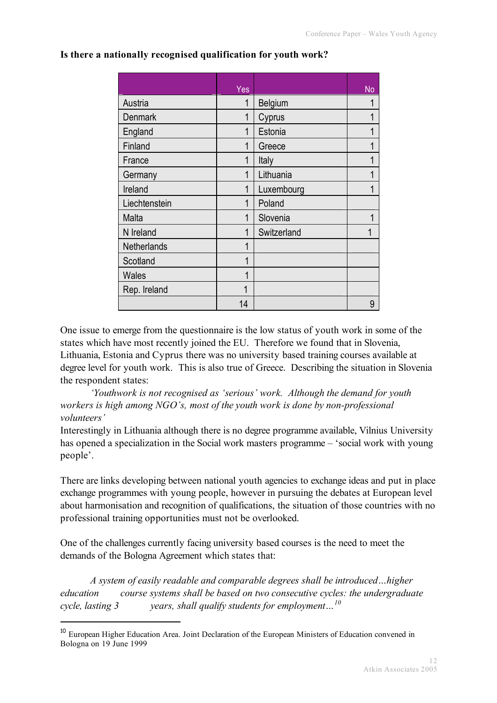|                | Yes         |             | <b>No</b> |
|----------------|-------------|-------------|-----------|
| Austria        | 1           | Belgium     | 1         |
| <b>Denmark</b> | 1           | Cyprus      | 1         |
| England        | $\mathbf 1$ | Estonia     | 1         |
| Finland        | 1           | Greece      | 1         |
| France         | 1           | Italy       | 1         |
| Germany        | 1           | Lithuania   | 1         |
| Ireland        | 1           | Luxembourg  | 1         |
| Liechtenstein  | 1           | Poland      |           |
| Malta          | 1           | Slovenia    | 1         |
| N Ireland      | 1           | Switzerland |           |
| Netherlands    | 1           |             |           |
| Scotland       | 1           |             |           |
| <b>Wales</b>   | 1           |             |           |
| Rep. Ireland   | 1           |             |           |
|                | 14          |             | 9         |

#### **Is there a nationally recognised qualification for youth work?**

One issue to emerge from the questionnaire is the low status of youth work in some of the states which have most recently joined the EU. Therefore we found that in Slovenia, Lithuania, Estonia and Cyprus there was no university based training courses available at degree level for youth work. This is also true of Greece. Describing the situation in Slovenia the respondent states:

*'Youthwork is not recognised as 'serious' work. Although the demand for youth workers is high among NGO's, most of the youth work is done by non-professional volunteers'*

Interestingly in Lithuania although there is no degree programme available, Vilnius University has opened a specialization in the Social work masters programme – 'social work with young people'.

There are links developing between national youth agencies to exchange ideas and put in place exchange programmes with young people, however in pursuing the debates at European level about harmonisation and recognition of qualifications, the situation of those countries with no professional training opportunities must not be overlooked.

One of the challenges currently facing university based courses is the need to meet the demands of the Bologna Agreement which states that:

*A system of easily readable and comparable degrees shall be introduced…higher education course systems shall be based on two consecutive cycles: the undergraduate cycle, lasting 3 years, shall qualify students for employment…<sup>10</sup>*

<sup>&</sup>lt;sup>10</sup> European Higher Education Area. Joint Declaration of the European Ministers of Education convened in Bologna on 19 June 1999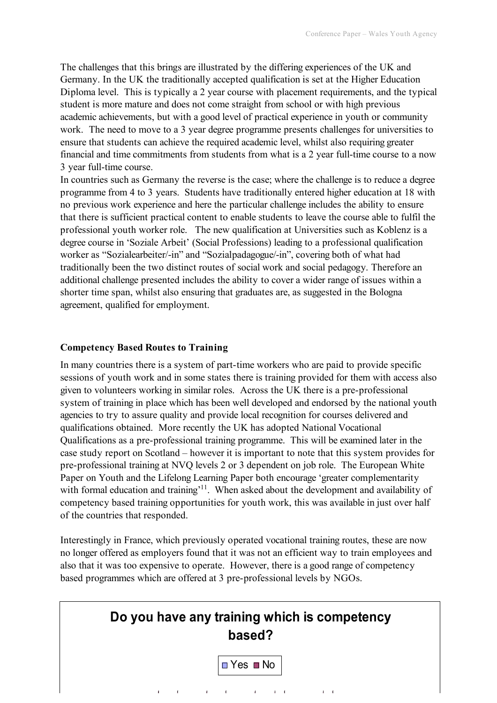The challenges that this brings are illustrated by the differing experiences of the UK and Germany. In the UK the traditionally accepted qualification is set at the Higher Education Diploma level. This is typically a 2 year course with placement requirements, and the typical student is more mature and does not come straight from school or with high previous academic achievements, but with a good level of practical experience in youth or community work. The need to move to a 3 year degree programme presents challenges for universities to ensure that students can achieve the required academic level, whilst also requiring greater financial and time commitments from students from what is a 2 year full-time course to a now 3 year full-time course.

In countries such as Germany the reverse is the case; where the challenge is to reduce a degree programme from 4 to 3 years. Students have traditionally entered higher education at 18 with no previous work experience and here the particular challenge includes the ability to ensure that there is sufficient practical content to enable students to leave the course able to fulfil the professional youth worker role. The new qualification at Universities such as Koblenz is a degree course in 'Soziale Arbeit' (Social Professions) leading to a professional qualification worker as "Sozialearbeiter/-in" and "Sozialpadagogue/-in", covering both of what had traditionally been the two distinct routes of social work and social pedagogy. Therefore an additional challenge presented includes the ability to cover a wider range of issues within a shorter time span, whilst also ensuring that graduates are, as suggested in the Bologna agreement, qualified for employment.

#### **Competency Based Routes to Training**

In many countries there is a system of part-time workers who are paid to provide specific sessions of youth work and in some states there is training provided for them with access also given to volunteers working in similar roles. Across the UK there is a pre-professional system of training in place which has been well developed and endorsed by the national youth agencies to try to assure quality and provide local recognition for courses delivered and qualifications obtained. More recently the UK has adopted National Vocational Qualifications as a pre-professional training programme. This will be examined later in the case study report on Scotland – however it is important to note that this system provides for pre-professional training at NVQ levels 2 or 3 dependent on job role. The European White Paper on Youth and the Lifelong Learning Paper both encourage 'greater complementarity with formal education and training<sup> $11$ </sup>. When asked about the development and availability of competency based training opportunities for youth work, this was available in just over half of the countries that responded.

Interestingly in France, which previously operated vocational training routes, these are now no longer offered as employers found that it was not an efficient way to train employees and also that it was too expensive to operate. However, there is a good range of competency based programmes which are offered at 3 pre-professional levels by NGOs.

| Do you have any training which is competency<br>based? |                                      |  |
|--------------------------------------------------------|--------------------------------------|--|
|                                                        | $\blacksquare$ Yes $\blacksquare$ No |  |
|                                                        |                                      |  |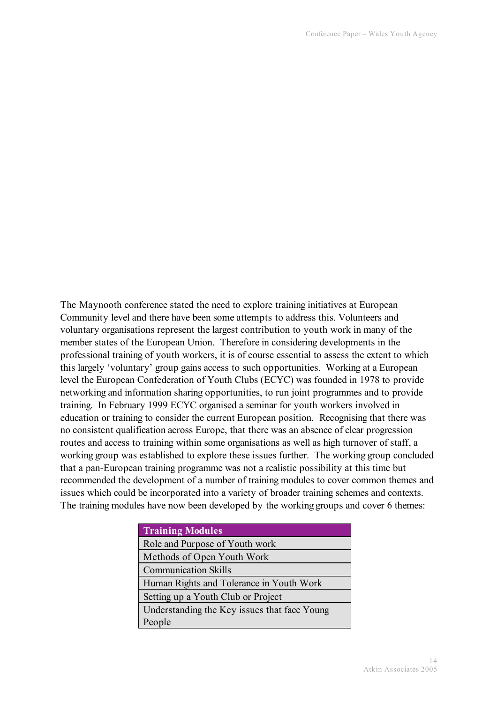The Maynooth conference stated the need to explore training initiatives at European Community level and there have been some attempts to address this. Volunteers and voluntary organisations represent the largest contribution to youth work in many of the member states of the European Union. Therefore in considering developments in the professional training of youth workers, it is of course essential to assess the extent to which this largely 'voluntary' group gains access to such opportunities. Working at a European level the European Confederation of Youth Clubs (ECYC) was founded in 1978 to provide networking and information sharing opportunities, to run joint programmes and to provide training. In February 1999 ECYC organised a seminar for youth workers involved in education or training to consider the current European position. Recognising that there was no consistent qualification across Europe, that there was an absence of clear progression routes and access to training within some organisations as well as high turnover of staff, a working group was established to explore these issues further. The working group concluded that a pan-European training programme was not a realistic possibility at this time but recommended the development of a number of training modules to cover common themes and issues which could be incorporated into a variety of broader training schemes and contexts. The training modules have now been developed by the working groups and cover 6 themes:

| <b>Training Modules</b>                      |
|----------------------------------------------|
| Role and Purpose of Youth work               |
| Methods of Open Youth Work                   |
| <b>Communication Skills</b>                  |
| Human Rights and Tolerance in Youth Work     |
| Setting up a Youth Club or Project           |
| Understanding the Key issues that face Young |
| People                                       |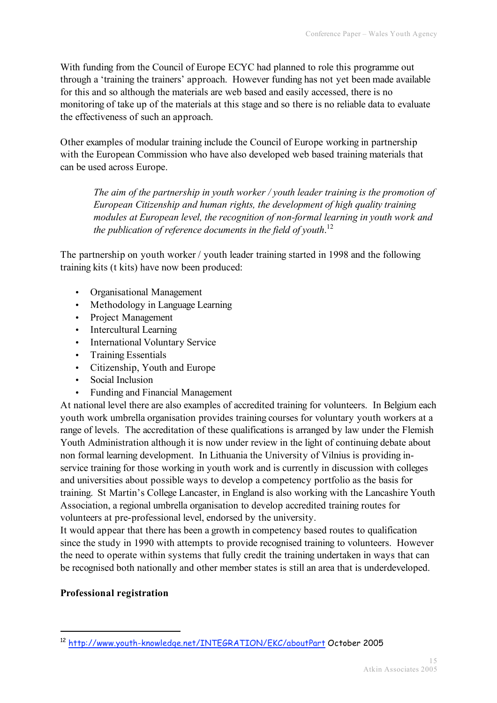With funding from the Council of Europe ECYC had planned to role this programme out through a 'training the trainers' approach. However funding has not yet been made available for this and so although the materials are web based and easily accessed, there is no monitoring of take up of the materials at this stage and so there is no reliable data to evaluate the effectiveness of such an approach.

Other examples of modular training include the Council of Europe working in partnership with the European Commission who have also developed web based training materials that can be used across Europe.

*The aim of the partnership in youth worker / youth leader training is the promotion of European Citizenship and human rights, the development of high quality training modules at European level, the recognition of non-formal learning in youth work and the publication of reference documents in the field of youth*. 12

The partnership on youth worker / youth leader training started in 1998 and the following training kits (t kits) have now been produced:

- Organisational Management
- Methodology in Language Learning
- Project Management
- Intercultural Learning
- International Voluntary Service
- Training Essentials
- Citizenship, Youth and Europe
- Social Inclusion
- Funding and Financial Management

At national level there are also examples of accredited training for volunteers. In Belgium each youth work umbrella organisation provides training courses for voluntary youth workers at a range of levels. The accreditation of these qualifications is arranged by law under the Flemish Youth Administration although it is now under review in the light of continuing debate about non formal learning development. In Lithuania the University of Vilnius is providing inservice training for those working in youth work and is currently in discussion with colleges and universities about possible ways to develop a competency portfolio as the basis for training. St Martin's College Lancaster, in England is also working with the Lancashire Youth Association, a regional umbrella organisation to develop accredited training routes for volunteers at pre-professional level, endorsed by the university.

It would appear that there has been a growth in competency based routes to qualification since the study in 1990 with attempts to provide recognised training to volunteers. However the need to operate within systems that fully credit the training undertaken in ways that can be recognised both nationally and other member states is still an area that is underdeveloped.

#### **Professional registration**

 <sup>12</sup> http://www.youth-knowledge.net/INTEGRATION/EKC/aboutPart October <sup>2005</sup>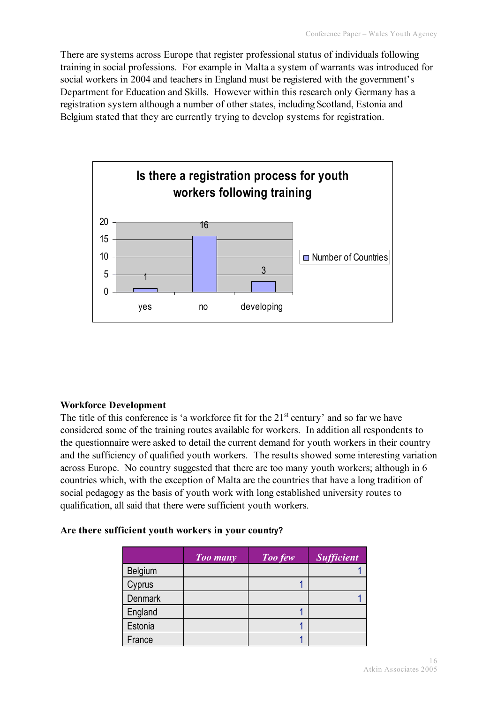There are systems across Europe that register professional status of individuals following training in social professions. For example in Malta a system of warrants was introduced for social workers in 2004 and teachers in England must be registered with the government's Department for Education and Skills. However within this research only Germany has a registration system although a number of other states, including Scotland, Estonia and Belgium stated that they are currently trying to develop systems for registration.



# **Workforce Development**

The title of this conference is 'a workforce fit for the  $21<sup>st</sup>$  century' and so far we have considered some of the training routes available for workers. In addition all respondents to the questionnaire were asked to detail the current demand for youth workers in their country and the sufficiency of qualified youth workers. The results showed some interesting variation across Europe. No country suggested that there are too many youth workers; although in 6 countries which, with the exception of Malta are the countries that have a long tradition of social pedagogy as the basis of youth work with long established university routes to qualification, all said that there were sufficient youth workers.

#### **Are there sufficient youth workers in your country?**

|                | Too many | <b>Too few</b> | <b>Sufficient</b> |
|----------------|----------|----------------|-------------------|
| <b>Belgium</b> |          |                |                   |
| Cyprus         |          |                |                   |
| <b>Denmark</b> |          |                |                   |
| England        |          |                |                   |
| Estonia        |          |                |                   |
| France         |          |                |                   |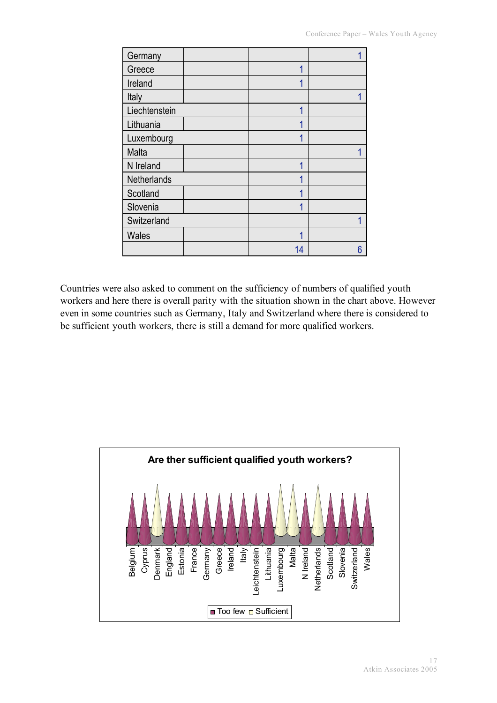| Germany       |    |   |
|---------------|----|---|
| Greece        | 1  |   |
| Ireland       | 1  |   |
| Italy         |    |   |
| Liechtenstein | 1  |   |
| Lithuania     | 1  |   |
| Luxembourg    | 1  |   |
| Malta         |    |   |
| N Ireland     | 4  |   |
| Netherlands   | 1  |   |
| Scotland      |    |   |
| Slovenia      | 1  |   |
| Switzerland   |    |   |
| Wales         | 1  |   |
|               | 14 | 6 |

Countries were also asked to comment on the sufficiency of numbers of qualified youth workers and here there is overall parity with the situation shown in the chart above. However even in some countries such as Germany, Italy and Switzerland where there is considered to be sufficient youth workers, there is still a demand for more qualified workers.

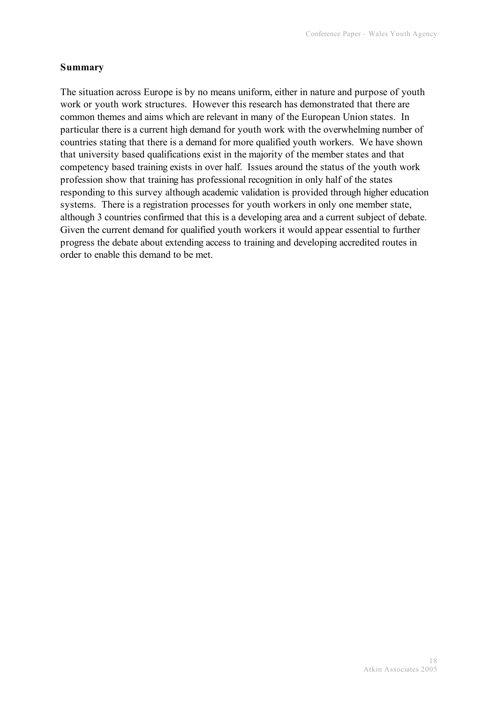# **Summary**

The situation across Europe is by no means uniform, either in nature and purpose of youth work or youth work structures. However this research has demonstrated that there are common themes and aims which are relevant in many of the European Union states. In particular there is a current high demand for youth work with the overwhelming number of countries stating that there is a demand for more qualified youth workers. We have shown that university based qualifications exist in the majority of the member states and that competency based training exists in over half. Issues around the status of the youth work profession show that training has professional recognition in only half of the states responding to this survey although academic validation is provided through higher education systems. There is a registration processes for youth workers in only one member state, although 3 countries confirmed that this is a developing area and a current subject of debate. Given the current demand for qualified youth workers it would appear essential to further progress the debate about extending access to training and developing accredited routes in order to enable this demand to be met.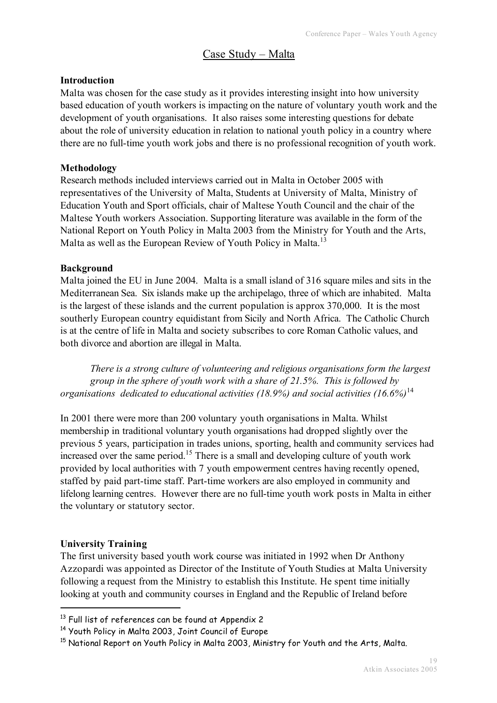# Case Study – Malta

## **Introduction**

Malta was chosen for the case study as it provides interesting insight into how university based education of youth workers is impacting on the nature of voluntary youth work and the development of youth organisations. It also raises some interesting questions for debate about the role of university education in relation to national youth policy in a country where there are no full-time youth work jobs and there is no professional recognition of youth work.

## **Methodology**

Research methods included interviews carried out in Malta in October 2005 with representatives of the University of Malta, Students at University of Malta, Ministry of Education Youth and Sport officials, chair of Maltese Youth Council and the chair of the Maltese Youth workers Association. Supporting literature was available in the form of the National Report on Youth Policy in Malta 2003 from the Ministry for Youth and the Arts, Malta as well as the European Review of Youth Policy in Malta.<sup>13</sup>

## **Background**

Malta joined the EU in June 2004. Malta is a small island of 316 square miles and sits in the Mediterranean Sea. Six islands make up the archipelago, three of which are inhabited. Malta is the largest of these islands and the current population is approx 370,000. It is the most southerly European country equidistant from Sicily and North Africa. The Catholic Church is at the centre of life in Malta and society subscribes to core Roman Catholic values, and both divorce and abortion are illegal in Malta.

*There is a strong culture of volunteering and religious organisations form the largest group in the sphere of youth work with a share of 21.5%. This is followed by organisations dedicated to educational activities (18.9%) and social activities (16.6%)* 14

In 2001 there were more than 200 voluntary youth organisations in Malta. Whilst membership in traditional voluntary youth organisations had dropped slightly over the previous 5 years, participation in trades unions, sporting, health and community services had increased over the same period.<sup>15</sup> There is a small and developing culture of youth work provided by local authorities with 7 youth empowerment centres having recently opened, staffed by paid part-time staff. Part-time workers are also employed in community and lifelong learning centres. However there are no full-time youth work posts in Malta in either the voluntary or statutory sector.

# **University Training**

The first university based youth work course was initiated in 1992 when Dr Anthony Azzopardi was appointed as Director of the Institute of Youth Studies at Malta University following a request from the Ministry to establish this Institute. He spent time initially looking at youth and community courses in England and the Republic of Ireland before

<sup>&</sup>lt;sup>13</sup> Full list of references can be found at Appendix 2

<sup>14</sup> Youth Policy in Malta 2003, Joint Council of Europe

<sup>&</sup>lt;sup>15</sup> National Report on Youth Policy in Malta 2003, Ministry for Youth and the Arts, Malta.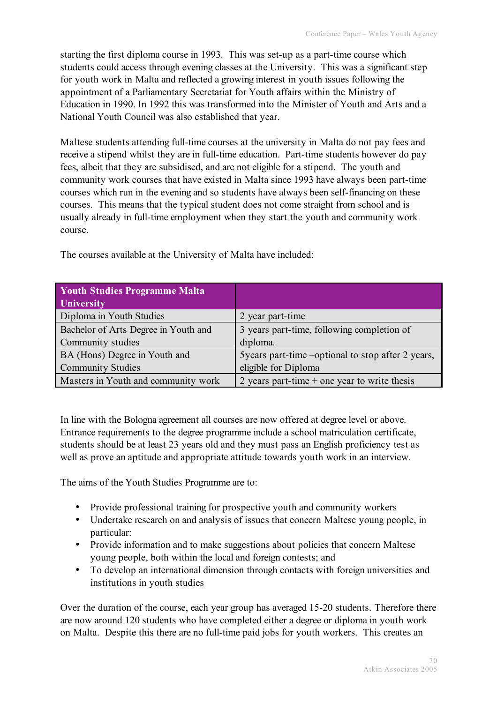starting the first diploma course in 1993. This was set-up as a part-time course which students could access through evening classes at the University. This was a significant step for youth work in Malta and reflected a growing interest in youth issues following the appointment of a Parliamentary Secretariat for Youth affairs within the Ministry of Education in 1990. In 1992 this was transformed into the Minister of Youth and Arts and a National Youth Council was also established that year.

Maltese students attending full-time courses at the university in Malta do not pay fees and receive a stipend whilst they are in full-time education. Part-time students however do pay fees, albeit that they are subsidised, and are not eligible for a stipend. The youth and community work courses that have existed in Malta since 1993 have always been part-time courses which run in the evening and so students have always been self-financing on these courses. This means that the typical student does not come straight from school and is usually already in full-time employment when they start the youth and community work course.

| <b>Youth Studies Programme Malta</b> |                                                     |
|--------------------------------------|-----------------------------------------------------|
| <b>University</b>                    |                                                     |
| Diploma in Youth Studies             | 2 year part-time                                    |
| Bachelor of Arts Degree in Youth and | 3 years part-time, following completion of          |
| Community studies                    | diploma.                                            |
| BA (Hons) Degree in Youth and        | 5 years part-time – optional to stop after 2 years, |
| <b>Community Studies</b>             | eligible for Diploma                                |
| Masters in Youth and community work  | 2 years part-time $+$ one year to write thesis      |

The courses available at the University of Malta have included:

In line with the Bologna agreement all courses are now offered at degree level or above. Entrance requirements to the degree programme include a school matriculation certificate, students should be at least 23 years old and they must pass an English proficiency test as well as prove an aptitude and appropriate attitude towards youth work in an interview.

The aims of the Youth Studies Programme are to:

- Provide professional training for prospective youth and community workers
- Undertake research on and analysis of issues that concern Maltese young people, in particular:
- Provide information and to make suggestions about policies that concern Maltese young people, both within the local and foreign contests; and
- To develop an international dimension through contacts with foreign universities and institutions in youth studies

Over the duration of the course, each year group has averaged 15-20 students. Therefore there are now around 120 students who have completed either a degree or diploma in youth work on Malta. Despite this there are no full-time paid jobs for youth workers. This creates an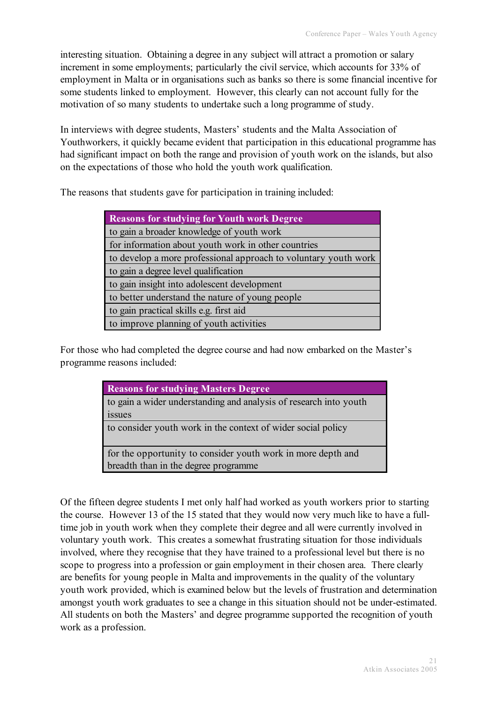interesting situation. Obtaining a degree in any subject will attract a promotion or salary increment in some employments; particularly the civil service, which accounts for 33% of employment in Malta or in organisations such as banks so there is some financial incentive for some students linked to employment. However, this clearly can not account fully for the motivation of so many students to undertake such a long programme of study.

In interviews with degree students, Masters' students and the Malta Association of Youthworkers, it quickly became evident that participation in this educational programme has had significant impact on both the range and provision of youth work on the islands, but also on the expectations of those who hold the youth work qualification.

The reasons that students gave for participation in training included:

| <b>Reasons for studying for Youth work Degree</b>               |  |  |
|-----------------------------------------------------------------|--|--|
| to gain a broader knowledge of youth work                       |  |  |
| for information about youth work in other countries             |  |  |
| to develop a more professional approach to voluntary youth work |  |  |
| to gain a degree level qualification                            |  |  |
| to gain insight into adolescent development                     |  |  |
| to better understand the nature of young people                 |  |  |
| to gain practical skills e.g. first aid                         |  |  |
| to improve planning of youth activities                         |  |  |

For those who had completed the degree course and had now embarked on the Master's programme reasons included:

| <b>Reasons for studying Masters Degree</b>                        |
|-------------------------------------------------------------------|
| to gain a wider understanding and analysis of research into youth |
| issues                                                            |
| to consider youth work in the context of wider social policy      |
| for the opportunity to consider youth work in more depth and      |
| breadth than in the degree programme                              |

Of the fifteen degree students I met only half had worked as youth workers prior to starting the course. However 13 of the 15 stated that they would now very much like to have a fulltime job in youth work when they complete their degree and all were currently involved in voluntary youth work. This creates a somewhat frustrating situation for those individuals involved, where they recognise that they have trained to a professional level but there is no scope to progress into a profession or gain employment in their chosen area. There clearly are benefits for young people in Malta and improvements in the quality of the voluntary youth work provided, which is examined below but the levels of frustration and determination amongst youth work graduates to see a change in this situation should not be under-estimated. All students on both the Masters' and degree programme supported the recognition of youth work as a profession.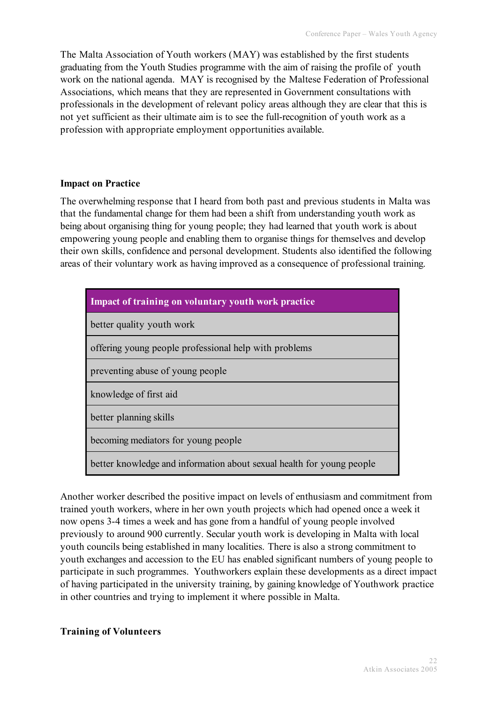The Malta Association of Youth workers (MAY) was established by the first students graduating from the Youth Studies programme with the aim of raising the profile of youth work on the national agenda. MAY is recognised by the Maltese Federation of Professional Associations, which means that they are represented in Government consultations with professionals in the development of relevant policy areas although they are clear that this is not yet sufficient as their ultimate aim is to see the full-recognition of youth work as a profession with appropriate employment opportunities available.

#### **Impact on Practice**

The overwhelming response that I heard from both past and previous students in Malta was that the fundamental change for them had been a shift from understanding youth work as being about organising thing for young people; they had learned that youth work is about empowering young people and enabling them to organise things for themselves and develop their own skills, confidence and personal development. Students also identified the following areas of their voluntary work as having improved as a consequence of professional training.

| Impact of training on voluntary youth work practice                   |  |  |  |  |
|-----------------------------------------------------------------------|--|--|--|--|
| better quality youth work                                             |  |  |  |  |
| offering young people professional help with problems                 |  |  |  |  |
| preventing abuse of young people                                      |  |  |  |  |
| knowledge of first aid                                                |  |  |  |  |
| better planning skills                                                |  |  |  |  |
| becoming mediators for young people                                   |  |  |  |  |
| better knowledge and information about sexual health for young people |  |  |  |  |

Another worker described the positive impact on levels of enthusiasm and commitment from trained youth workers, where in her own youth projects which had opened once a week it now opens 3-4 times a week and has gone from a handful of young people involved previously to around 900 currently. Secular youth work is developing in Malta with local youth councils being established in many localities. There is also a strong commitment to youth exchanges and accession to the EU has enabled significant numbers of young people to participate in such programmes. Youthworkers explain these developments as a direct impact of having participated in the university training, by gaining knowledge of Youthwork practice in other countries and trying to implement it where possible in Malta.

#### **Training of Volunteers**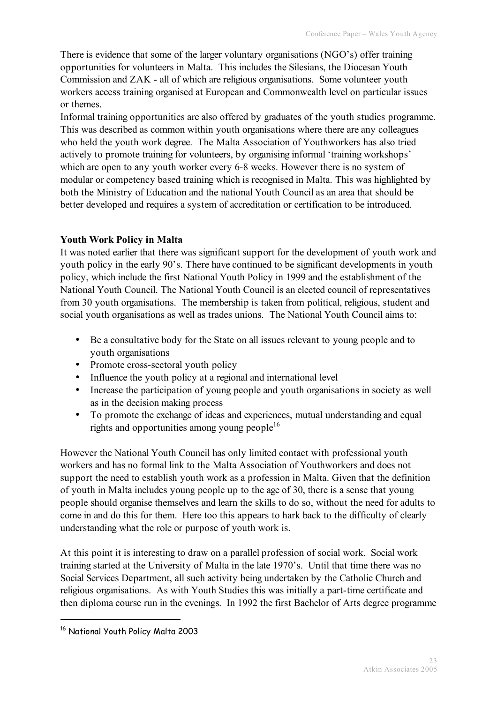There is evidence that some of the larger voluntary organisations (NGO's) offer training opportunities for volunteers in Malta. This includes the Silesians, the Diocesan Youth Commission and ZAK - all of which are religious organisations. Some volunteer youth workers access training organised at European and Commonwealth level on particular issues or themes.

Informal training opportunities are also offered by graduates of the youth studies programme. This was described as common within youth organisations where there are any colleagues who held the youth work degree. The Malta Association of Youthworkers has also tried actively to promote training for volunteers, by organising informal 'training workshops' which are open to any youth worker every 6-8 weeks. However there is no system of modular or competency based training which is recognised in Malta. This was highlighted by both the Ministry of Education and the national Youth Council as an area that should be better developed and requires a system of accreditation or certification to be introduced.

# **Youth Work Policy in Malta**

It was noted earlier that there was significant support for the development of youth work and youth policy in the early 90's. There have continued to be significant developments in youth policy, which include the first National Youth Policy in 1999 and the establishment of the National Youth Council. The National Youth Council is an elected council of representatives from 30 youth organisations. The membership is taken from political, religious, student and social youth organisations as well as trades unions. The National Youth Council aims to:

- Be a consultative body for the State on all issues relevant to young people and to youth organisations
- Promote cross-sectoral youth policy
- Influence the youth policy at a regional and international level
- Increase the participation of young people and youth organisations in society as well as in the decision making process
- To promote the exchange of ideas and experiences, mutual understanding and equal rights and opportunities among young people<sup>16</sup>

However the National Youth Council has only limited contact with professional youth workers and has no formal link to the Malta Association of Youthworkers and does not support the need to establish youth work as a profession in Malta. Given that the definition of youth in Malta includes young people up to the age of 30, there is a sense that young people should organise themselves and learn the skills to do so, without the need for adults to come in and do this for them. Here too this appears to hark back to the difficulty of clearly understanding what the role or purpose of youth work is.

At this point it is interesting to draw on a parallel profession of social work. Social work training started at the University of Malta in the late 1970's. Until that time there was no Social Services Department, all such activity being undertaken by the Catholic Church and religious organisations. As with Youth Studies this was initially a part-time certificate and then diploma course run in the evenings. In 1992 the first Bachelor of Arts degree programme

 <sup>16</sup> National Youth Policy Malta 2003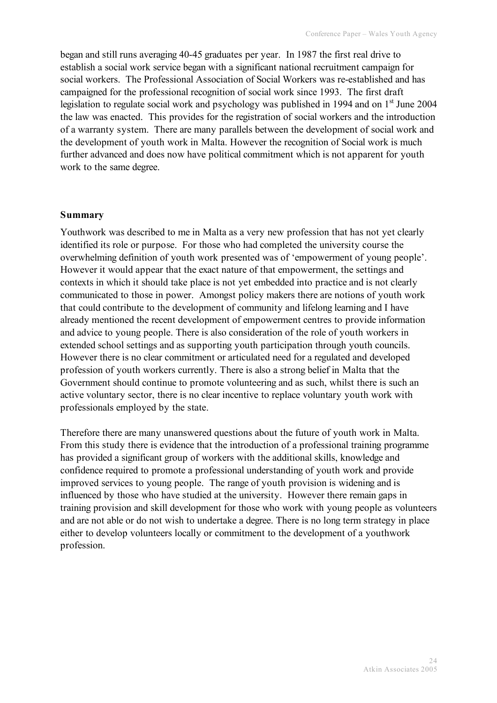began and still runs averaging 40-45 graduates per year. In 1987 the first real drive to establish a social work service began with a significant national recruitment campaign for social workers. The Professional Association of Social Workers was re-established and has campaigned for the professional recognition of social work since 1993. The first draft legislation to regulate social work and psychology was published in 1994 and on 1<sup>st</sup> June 2004 the law was enacted. This provides for the registration of social workers and the introduction of a warranty system. There are many parallels between the development of social work and the development of youth work in Malta. However the recognition of Social work is much further advanced and does now have political commitment which is not apparent for youth work to the same degree.

#### **Summary**

Youthwork was described to me in Malta as a very new profession that has not yet clearly identified its role or purpose. For those who had completed the university course the overwhelming definition of youth work presented was of 'empowerment of young people'. However it would appear that the exact nature of that empowerment, the settings and contexts in which it should take place is not yet embedded into practice and is not clearly communicated to those in power. Amongst policy makers there are notions of youth work that could contribute to the development of community and lifelong learning and I have already mentioned the recent development of empowerment centres to provide information and advice to young people. There is also consideration of the role of youth workers in extended school settings and as supporting youth participation through youth councils. However there is no clear commitment or articulated need for a regulated and developed profession of youth workers currently. There is also a strong belief in Malta that the Government should continue to promote volunteering and as such, whilst there is such an active voluntary sector, there is no clear incentive to replace voluntary youth work with professionals employed by the state.

Therefore there are many unanswered questions about the future of youth work in Malta. From this study there is evidence that the introduction of a professional training programme has provided a significant group of workers with the additional skills, knowledge and confidence required to promote a professional understanding of youth work and provide improved services to young people. The range of youth provision is widening and is influenced by those who have studied at the university. However there remain gaps in training provision and skill development for those who work with young people as volunteers and are not able or do not wish to undertake a degree. There is no long term strategy in place either to develop volunteers locally or commitment to the development of a youthwork profession.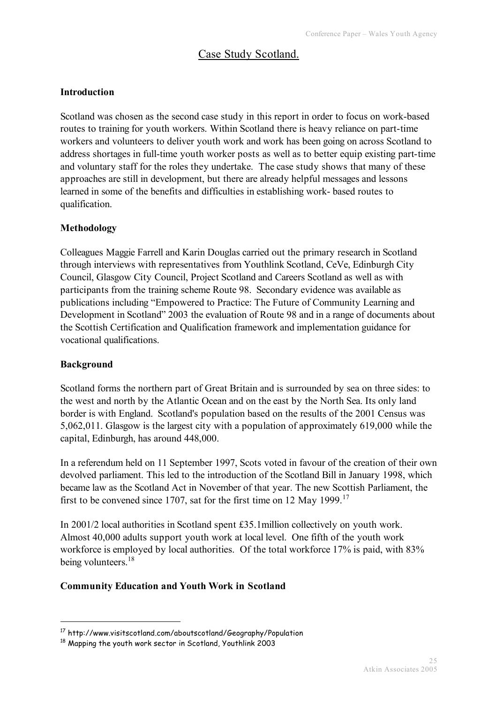# Case Study Scotland.

## **Introduction**

Scotland was chosen as the second case study in this report in order to focus on work-based routes to training for youth workers. Within Scotland there is heavy reliance on part-time workers and volunteers to deliver youth work and work has been going on across Scotland to address shortages in full-time youth worker posts as well as to better equip existing part-time and voluntary staff for the roles they undertake. The case study shows that many of these approaches are still in development, but there are already helpful messages and lessons learned in some of the benefits and difficulties in establishing work- based routes to qualification.

#### **Methodology**

Colleagues Maggie Farrell and Karin Douglas carried out the primary research in Scotland through interviews with representatives from Youthlink Scotland, CeVe, Edinburgh City Council, Glasgow City Council, Project Scotland and Careers Scotland as well as with participants from the training scheme Route 98. Secondary evidence was available as publications including "Empowered to Practice: The Future of Community Learning and Development in Scotland" 2003 the evaluation of Route 98 and in a range of documents about the Scottish Certification and Qualification framework and implementation guidance for vocational qualifications.

#### **Background**

Scotland forms the northern part of Great Britain and is surrounded by sea on three sides: to the west and north by the Atlantic Ocean and on the east by the North Sea. Its only land border is with England. Scotland's population based on the results of the 2001 Census was 5,062,011. Glasgow is the largest city with a population of approximately 619,000 while the capital, Edinburgh, has around 448,000.

In a referendum held on 11 September 1997, Scots voted in favour of the creation of their own devolved parliament. This led to the introduction of the Scotland Bill in January 1998, which became law as the Scotland Act in November of that year. The new Scottish Parliament, the first to be convened since 1707, sat for the first time on 12 May 1999.<sup>17</sup>

In 2001/2 local authorities in Scotland spent £35.1million collectively on youth work. Almost 40,000 adults support youth work at local level. One fifth of the youth work workforce is employed by local authorities. Of the total workforce 17% is paid, with 83% being volunteers.<sup>18</sup>

#### **Community Education and Youth Work in Scotland**

 <sup>17</sup> http://www.visitscotland.com/aboutscotland/Geography/Population

<sup>&</sup>lt;sup>18</sup> Mapping the youth work sector in Scotland, Youthlink 2003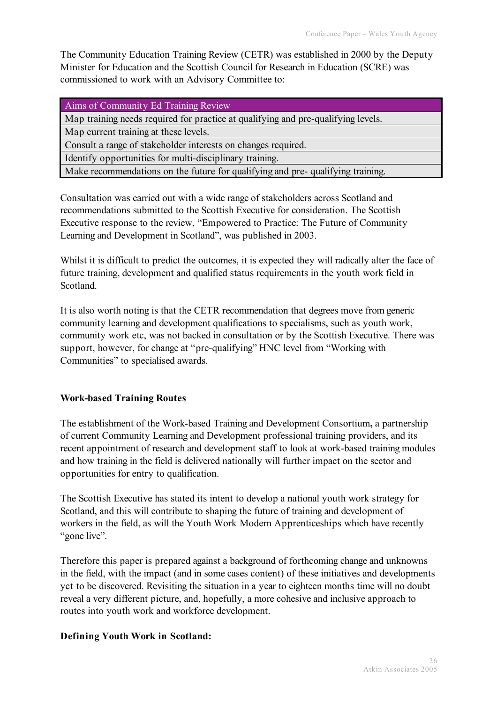The Community Education Training Review (CETR) was established in 2000 by the Deputy Minister for Education and the Scottish Council for Research in Education (SCRE) was commissioned to work with an Advisory Committee to:

Aims of Community Ed Training Review

Map training needs required for practice at qualifying and pre-qualifying levels.

Map current training at these levels.

Consult a range of stakeholder interests on changes required.

Identify opportunities for multi-disciplinary training.

Make recommendations on the future for qualifying and pre- qualifying training.

Consultation was carried out with a wide range of stakeholders across Scotland and recommendations submitted to the Scottish Executive for consideration. The Scottish Executive response to the review, "Empowered to Practice: The Future of Community Learning and Development in Scotland", was published in 2003.

Whilst it is difficult to predict the outcomes, it is expected they will radically alter the face of future training, development and qualified status requirements in the youth work field in Scotland.

It is also worth noting is that the CETR recommendation that degrees move from generic community learning and development qualifications to specialisms, such as youth work, community work etc, was not backed in consultation or by the Scottish Executive. There was support, however, for change at "pre-qualifying" HNC level from "Working with Communities" to specialised awards.

#### **Work-based Training Routes**

The establishment of the Work-based Training and Development Consortium**,** a partnership of current Community Learning and Development professional training providers, and its recent appointment of research and development staff to look at work-based training modules and how training in the field is delivered nationally will further impact on the sector and opportunities for entry to qualification.

The Scottish Executive has stated its intent to develop a national youth work strategy for Scotland, and this will contribute to shaping the future of training and development of workers in the field, as will the Youth Work Modern Apprenticeships which have recently "gone live".

Therefore this paper is prepared against a background of forthcoming change and unknowns in the field, with the impact (and in some cases content) of these initiatives and developments yet to be discovered. Revisiting the situation in a year to eighteen months time will no doubt reveal a very different picture, and, hopefully, a more cohesive and inclusive approach to routes into youth work and workforce development.

#### **Defining Youth Work in Scotland:**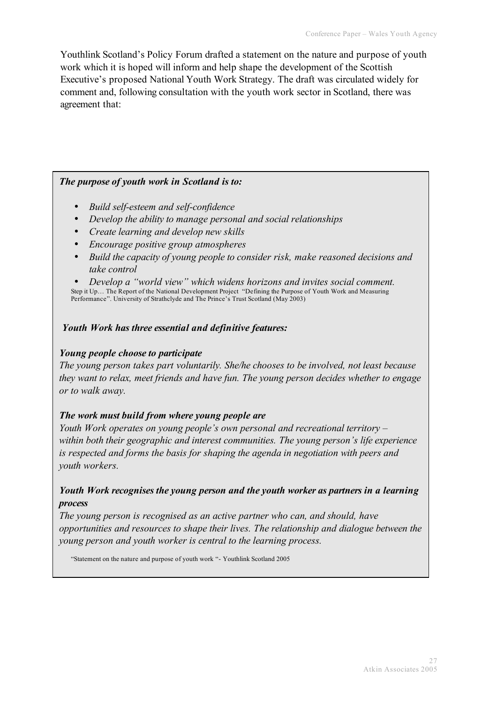Youthlink Scotland's Policy Forum drafted a statement on the nature and purpose of youth work which it is hoped will inform and help shape the development of the Scottish Executive's proposed National Youth Work Strategy. The draft was circulated widely for comment and, following consultation with the youth work sector in Scotland, there was agreement that:

#### *The purpose of youth work in Scotland is to:*

- *Build self-esteem and self-confidence*
- *Develop the ability to manage personal and social relationships*
- *Create learning and develop new skills*
- *Encourage positive group atmospheres*
- *Build the capacity of young people to consider risk, make reasoned decisions and take control*

• Develop a "world view" which widens horizons and invites social comment.<br>Step it Up... The Report of the National Development Project "Defining the Purpose of Youth Work and Measuring Performance". University of Strathclyde and The Prince's Trust Scotland (May 2003)

#### *Youth Work has three essential and definitive features:*

#### *Young people choose to participate*

*The young person takes part voluntarily. She/he chooses to be involved, not least because they want to relax, meet friends and have fun. The young person decides whether to engage or to walk away.*

# *The work must build from where young people are*

*Youth Work operates on young people's own personal and recreational territory – within both their geographic and interest communities. The young person's life experience is respected and forms the basis for shaping the agenda in negotiation with peers and youth workers.*

# *Youth Work recognises the young person and the youth worker as partners in a learning process*

*The young person is recognised as an active partner who can, and should, have opportunities and resources to shape their lives. The relationship and dialogue between the young person and youth worker is central to the learning process.*

"Statement on the nature and purpose of youth work "- Youthlink Scotland 2005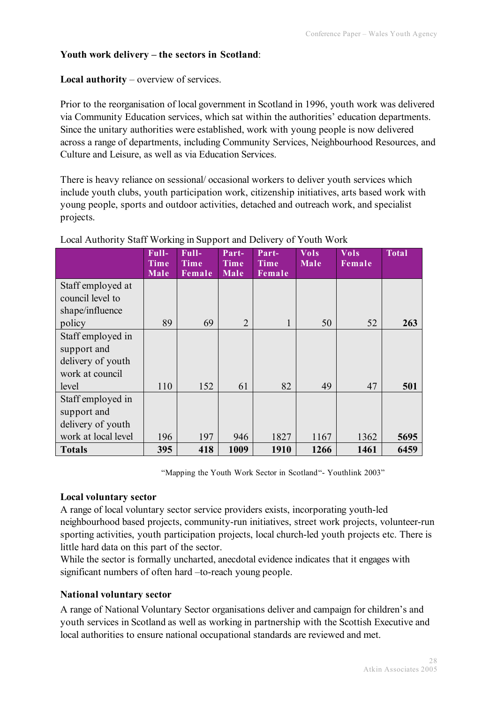# **Youth work delivery – the sectors in Scotland**:

#### **Local authority** – overview of services.

Prior to the reorganisation of local government in Scotland in 1996, youth work was delivered via Community Education services, which sat within the authorities' education departments. Since the unitary authorities were established, work with young people is now delivered across a range of departments, including Community Services, Neighbourhood Resources, and Culture and Leisure, as well as via Education Services.

There is heavy reliance on sessional/ occasional workers to deliver youth services which include youth clubs, youth participation work, citizenship initiatives, arts based work with young people, sports and outdoor activities, detached and outreach work, and specialist projects.

|                                                                                   | Full-<br><b>Time</b><br><b>Male</b> | Full-<br><b>Time</b><br>Female | Part-<br>Time<br><b>Male</b> | Part-<br><b>Time</b><br>Female | <b>Vols</b><br>Male | <b>Vols</b><br>Female | <b>Total</b> |
|-----------------------------------------------------------------------------------|-------------------------------------|--------------------------------|------------------------------|--------------------------------|---------------------|-----------------------|--------------|
| Staff employed at<br>council level to                                             |                                     |                                |                              |                                |                     |                       |              |
| shape/influence<br>policy                                                         | 89                                  | 69                             | $\overline{2}$               | 1                              | 50                  | 52                    | 263          |
| Staff employed in<br>support and<br>delivery of youth<br>work at council<br>level | 110                                 | 152                            | 61                           | 82                             | 49                  | 47                    | 501          |
| Staff employed in<br>support and<br>delivery of youth<br>work at local level      | 196                                 | 197                            | 946                          | 1827                           | 1167                | 1362                  | 5695         |
| <b>Totals</b>                                                                     | 395                                 | 418                            | 1009                         | 1910                           | 1266                | 1461                  | 6459         |

## Local Authority Staff Working in Support and Delivery of Youth Work

"Mapping the Youth Work Sector in Scotland"- Youthlink 2003"

#### **Local voluntary sector**

A range of local voluntary sector service providers exists, incorporating youth-led neighbourhood based projects, community-run initiatives, street work projects, volunteer-run sporting activities, youth participation projects, local church-led youth projects etc. There is little hard data on this part of the sector.

While the sector is formally uncharted, anecdotal evidence indicates that it engages with significant numbers of often hard –to-reach young people.

#### **National voluntary sector**

A range of National Voluntary Sector organisations deliver and campaign for children's and youth services in Scotland as well as working in partnership with the Scottish Executive and local authorities to ensure national occupational standards are reviewed and met.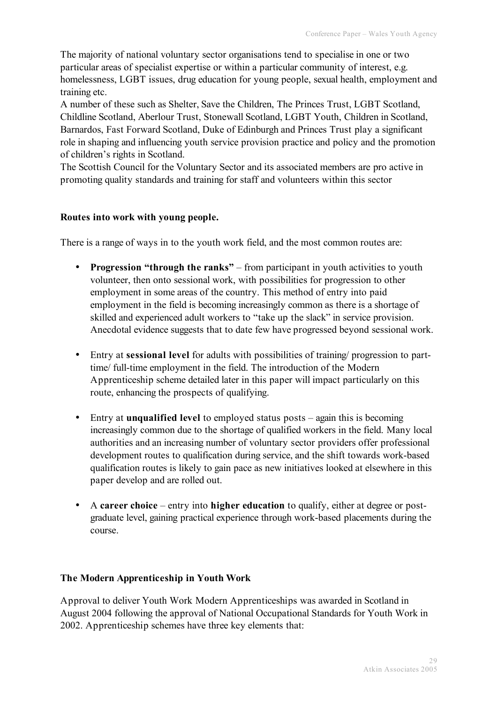The majority of national voluntary sector organisations tend to specialise in one or two particular areas of specialist expertise or within a particular community of interest, e.g. homelessness, LGBT issues, drug education for young people, sexual health, employment and training etc.

A number of these such as Shelter, Save the Children, The Princes Trust, LGBT Scotland, Childline Scotland, Aberlour Trust, Stonewall Scotland, LGBT Youth, Children in Scotland, Barnardos, Fast Forward Scotland, Duke of Edinburgh and Princes Trust play a significant role in shaping and influencing youth service provision practice and policy and the promotion of children's rights in Scotland.

The Scottish Council for the Voluntary Sector and its associated members are pro active in promoting quality standards and training for staff and volunteers within this sector

## **Routes into work with young people.**

There is a range of ways in to the youth work field, and the most common routes are:

- **Progression "through the ranks"** from participant in youth activities to youth volunteer, then onto sessional work, with possibilities for progression to other employment in some areas of the country. This method of entry into paid employment in the field is becoming increasingly common as there is a shortage of skilled and experienced adult workers to "take up the slack" in service provision. Anecdotal evidence suggests that to date few have progressed beyond sessional work.
- Entry at **sessional level** for adults with possibilities of training/ progression to parttime/ full-time employment in the field. The introduction of the Modern Apprenticeship scheme detailed later in this paper will impact particularly on this route, enhancing the prospects of qualifying.
- Entry at **unqualified level** to employed status posts again this is becoming increasingly common due to the shortage of qualified workers in the field. Many local authorities and an increasing number of voluntary sector providers offer professional development routes to qualification during service, and the shift towards work-based qualification routes is likely to gain pace as new initiatives looked at elsewhere in this paper develop and are rolled out.
- A **career choice** entry into **higher education** to qualify, either at degree or postgraduate level, gaining practical experience through work-based placements during the course.

#### **The Modern Apprenticeship in Youth Work**

Approval to deliver Youth Work Modern Apprenticeships was awarded in Scotland in August 2004 following the approval of National Occupational Standards for Youth Work in 2002. Apprenticeship schemes have three key elements that: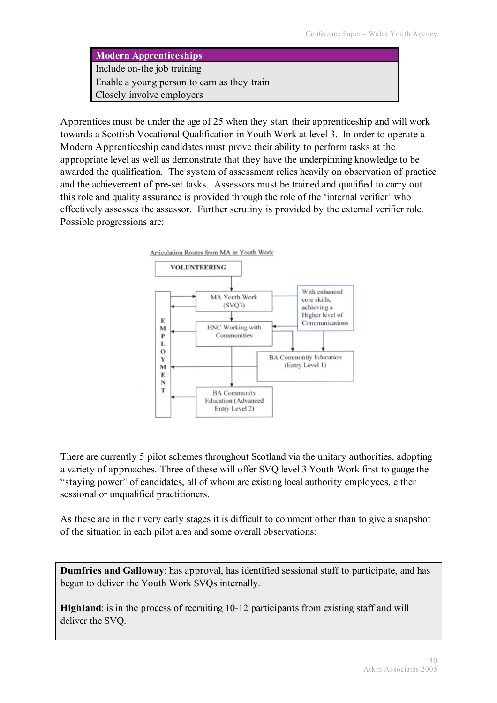| <b>Modern Apprenticeships</b>               |
|---------------------------------------------|
| Include on-the job training                 |
| Enable a young person to earn as they train |
| Closely involve employers                   |

Apprentices must be under the age of 25 when they start their apprenticeship and will work towards a Scottish Vocational Qualification in Youth Work at level 3. In order to operate a Modern Apprenticeship candidates must prove their ability to perform tasks at the appropriate level as well as demonstrate that they have the underpinning knowledge to be awarded the qualification. The system of assessment relies heavily on observation of practice and the achievement of pre-set tasks. Assessors must be trained and qualified to carry out this role and quality assurance is provided through the role of the 'internal verifier' who effectively assesses the assessor. Further scrutiny is provided by the external verifier role. Possible progressions are:



There are currently 5 pilot schemes throughout Scotland via the unitary authorities, adopting a variety of approaches. Three of these will offer SVQ level 3 Youth Work first to gauge the "staying power" of candidates, all of whom are existing local authority employees, either sessional or unqualified practitioners.

As these are in their very early stages it is difficult to comment other than to give a snapshot of the situation in each pilot area and some overall observations:

**Dumfries and Galloway**: has approval, has identified sessional staff to participate, and has begun to deliver the Youth Work SVQs internally.

**Highland**: is in the process of recruiting 10-12 participants from existing staff and will deliver the SVQ.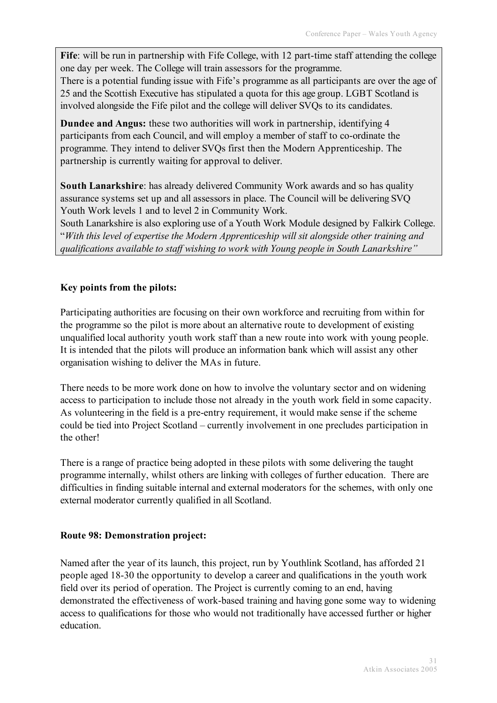**Fife**: will be run in partnership with Fife College, with 12 part-time staff attending the college one day per week. The College will train assessors for the programme.

There is a potential funding issue with Fife's programme as all participants are over the age of 25 and the Scottish Executive has stipulated a quota for this age group. LGBT Scotland is involved alongside the Fife pilot and the college will deliver SVQs to its candidates.

**Dundee and Angus:** these two authorities will work in partnership, identifying 4 participants from each Council, and will employ a member of staff to co-ordinate the programme. They intend to deliver SVQs first then the Modern Apprenticeship. The partnership is currently waiting for approval to deliver.

**South Lanarkshire**: has already delivered Community Work awards and so has quality assurance systems set up and all assessors in place. The Council will be delivering SVQ Youth Work levels 1 and to level 2 in Community Work.

South Lanarkshire is also exploring use of a Youth Work Module designed by Falkirk College. "*With this level of expertise the Modern Apprenticeship will sit alongside other training and qualifications available to staff wishing to work with Young people in South Lanarkshire"*

# **Key points from the pilots:**

Participating authorities are focusing on their own workforce and recruiting from within for the programme so the pilot is more about an alternative route to development of existing unqualified local authority youth work staff than a new route into work with young people. It is intended that the pilots will produce an information bank which will assist any other organisation wishing to deliver the MAs in future.

There needs to be more work done on how to involve the voluntary sector and on widening access to participation to include those not already in the youth work field in some capacity. As volunteering in the field is a pre-entry requirement, it would make sense if the scheme could be tied into Project Scotland – currently involvement in one precludes participation in the other!

There is a range of practice being adopted in these pilots with some delivering the taught programme internally, whilst others are linking with colleges of further education. There are difficulties in finding suitable internal and external moderators for the schemes, with only one external moderator currently qualified in all Scotland.

# **Route 98: Demonstration project:**

Named after the year of its launch, this project, run by Youthlink Scotland, has afforded 21 people aged 18-30 the opportunity to develop a career and qualifications in the youth work field over its period of operation. The Project is currently coming to an end, having demonstrated the effectiveness of work-based training and having gone some way to widening access to qualifications for those who would not traditionally have accessed further or higher education.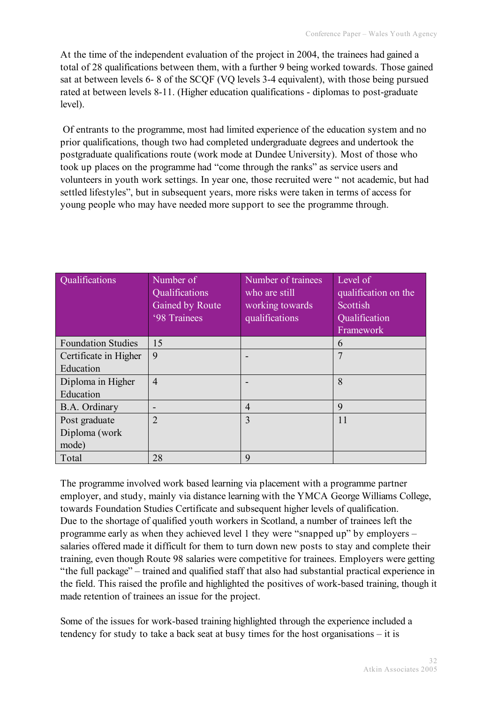At the time of the independent evaluation of the project in 2004, the trainees had gained a total of 28 qualifications between them, with a further 9 being worked towards. Those gained sat at between levels 6- 8 of the SCQF (VQ levels 3-4 equivalent), with those being pursued rated at between levels 8-11. (Higher education qualifications - diplomas to post-graduate level).

Of entrants to the programme, most had limited experience of the education system and no prior qualifications, though two had completed undergraduate degrees and undertook the postgraduate qualifications route (work mode at Dundee University). Most of those who took up places on the programme had "come through the ranks" as service users and volunteers in youth work settings. In year one, those recruited were " not academic, but had settled lifestyles", but in subsequent years, more risks were taken in terms of access for young people who may have needed more support to see the programme through.

| Qualifications            | Number of<br>Qualifications<br>Gained by Route<br>'98 Trainees | Number of trainees<br>who are still<br>working towards<br>qualifications | Level of<br>qualification on the<br>Scottish<br>Qualification<br>Framework |
|---------------------------|----------------------------------------------------------------|--------------------------------------------------------------------------|----------------------------------------------------------------------------|
| <b>Foundation Studies</b> | 15                                                             |                                                                          | 6                                                                          |
| Certificate in Higher     | 9                                                              |                                                                          | 7                                                                          |
| Education                 |                                                                |                                                                          |                                                                            |
| Diploma in Higher         | $\overline{4}$                                                 |                                                                          | 8                                                                          |
| Education                 |                                                                |                                                                          |                                                                            |
| B.A. Ordinary             |                                                                | $\overline{4}$                                                           | 9                                                                          |
| Post graduate             | $\overline{2}$                                                 | 3                                                                        | 11                                                                         |
| Diploma (work             |                                                                |                                                                          |                                                                            |
| mode)                     |                                                                |                                                                          |                                                                            |
| Total                     | 28                                                             | 9                                                                        |                                                                            |

The programme involved work based learning via placement with a programme partner employer, and study, mainly via distance learning with the YMCA George Williams College, towards Foundation Studies Certificate and subsequent higher levels of qualification. Due to the shortage of qualified youth workers in Scotland, a number of trainees left the programme early as when they achieved level 1 they were "snapped up" by employers – salaries offered made it difficult for them to turn down new posts to stay and complete their training, even though Route 98 salaries were competitive for trainees. Employers were getting "the full package" – trained and qualified staff that also had substantial practical experience in the field. This raised the profile and highlighted the positives of work-based training, though it made retention of trainees an issue for the project.

Some of the issues for work-based training highlighted through the experience included a tendency for study to take a back seat at busy times for the host organisations – it is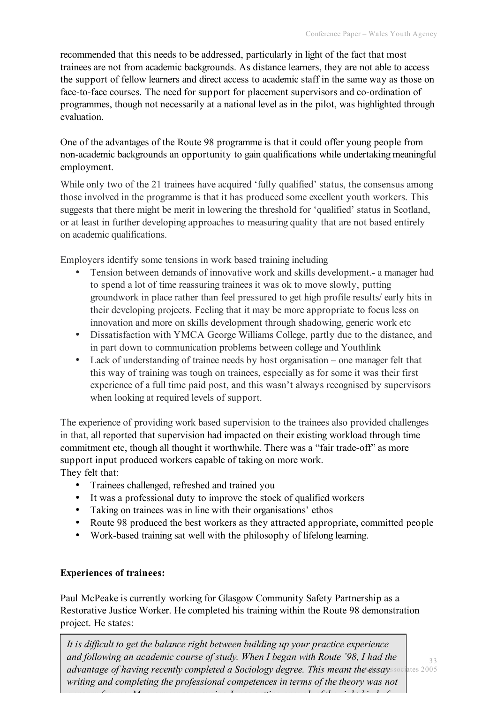recommended that this needs to be addressed, particularly in light of the fact that most trainees are not from academic backgrounds. As distance learners, they are not able to access the support of fellow learners and direct access to academic staff in the same way as those on face-to-face courses. The need for support for placement supervisors and co-ordination of programmes, though not necessarily at a national level as in the pilot, was highlighted through evaluation.

One of the advantages of the Route 98 programme is that it could offer young people from non-academic backgrounds an opportunity to gain qualifications while undertaking meaningful employment.

While only two of the 21 trainees have acquired 'fully qualified' status, the consensus among those involved in the programme is that it has produced some excellent youth workers. This suggests that there might be merit in lowering the threshold for 'qualified' status in Scotland, or at least in further developing approaches to measuring quality that are not based entirely on academic qualifications.

Employers identify some tensions in work based training including

- Tension between demands of innovative work and skills development.- a manager had to spend a lot of time reassuring trainees it was ok to move slowly, putting groundwork in place rather than feel pressured to get high profile results/ early hits in their developing projects. Feeling that it may be more appropriate to focus less on innovation and more on skills development through shadowing, generic work etc
- Dissatisfaction with YMCA George Williams College, partly due to the distance, and in part down to communication problems between college and Youthlink
- Lack of understanding of trainee needs by host organisation one manager felt that this way of training was tough on trainees, especially as for some it was their first experience of a full time paid post, and this wasn't always recognised by supervisors when looking at required levels of support.

The experience of providing work based supervision to the trainees also provided challenges in that, all reported that supervision had impacted on their existing workload through time commitment etc, though all thought it worthwhile. There was a "fair trade-off" as more support input produced workers capable of taking on more work. They felt that:

- Trainees challenged, refreshed and trained you
- It was a professional duty to improve the stock of qualified workers
- Taking on trainees was in line with their organisations' ethos
- Route 98 produced the best workers as they attracted appropriate, committed people
- Work-based training sat well with the philosophy of lifelong learning.

# **Experiences of trainees:**

Paul McPeake is currently working for Glasgow Community Safety Partnership as a Restorative Justice Worker. He completed his training within the Route 98 demonstration project. He states:

33 Atkin Associates 2005 *advantage of having recently completed a Sociology degree. This meant the essay It is difficult to get the balance right between building up your practice experience and following an academic course of study. When I began with Route '98, I had the writing and completing the professional competences in terms of the theory was not a worry for me. My worry was ensuring I was getting enough of the right kind of*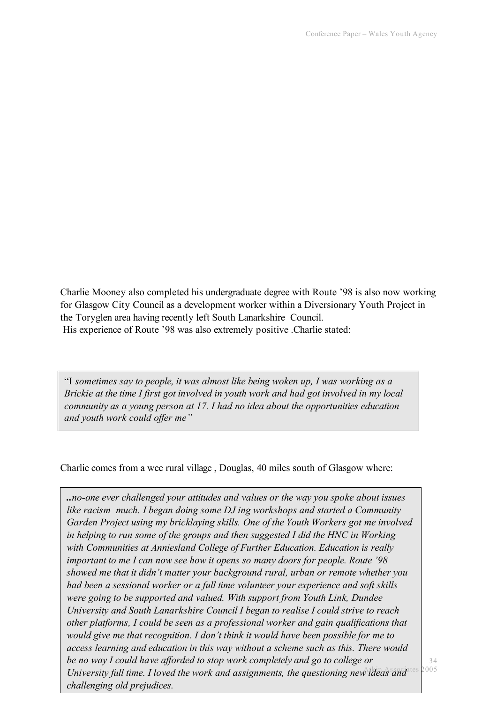Charlie Mooney also completed his undergraduate degree with Route '98 is also now working for Glasgow City Council as a development worker within a Diversionary Youth Project in the Toryglen area having recently left South Lanarkshire Council. His experience of Route '98 was also extremely positive .Charlie stated:

"I *sometimes say to people, it was almost like being woken up, I was working as a Brickie at the time I first got involved in youth work and had got involved in my local community as a young person at 17. I had no idea about the opportunities education and youth work could offer me"*

Charlie comes from a wee rural village , Douglas, 40 miles south of Glasgow where:

*University full time. I loved the work and assignments, the questioning new ideas and <sup>tes 2005</sup> ..no-one ever challenged your attitudes and values or the way you spoke about issues like racism much. I began doing some DJ ing workshops and started a Community Garden Project using my bricklaying skills. One of the Youth Workers got me involved in helping to run some of the groups and then suggested I did the HNC in Working with Communities at Anniesland College of Further Education. Education is really important to me I can now see how it opens so many doors for people. Route '98 showed me that it didn't matter your background rural, urban or remote whether you had been a sessional worker or a full time volunteer your experience and soft skills were going to be supported and valued. With support from Youth Link, Dundee University and South Lanarkshire Council I began to realise I could strive to reach other platforms, I could be seen as a professional worker and gain qualifications that would give me that recognition. I don't think it would have been possible for me to access learning and education in this way without a scheme such as this. There would be no way I could have afforded to stop work completely and go to college or challenging old prejudices.*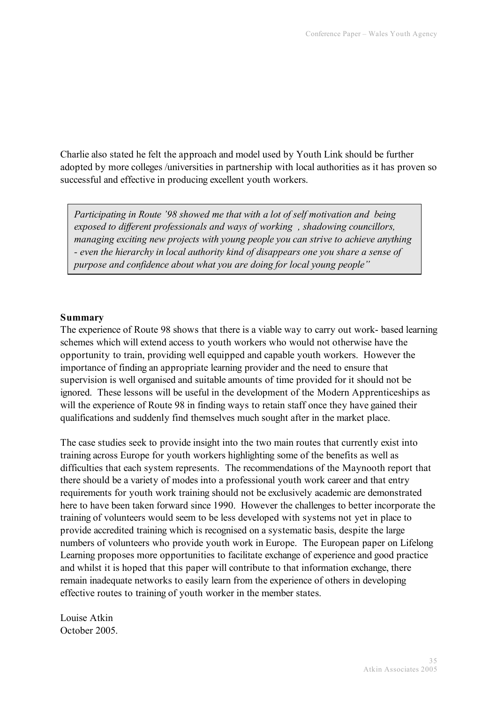Charlie also stated he felt the approach and model used by Youth Link should be further adopted by more colleges /universities in partnership with local authorities as it has proven so successful and effective in producing excellent youth workers.

*Participating in Route '98 showed me that with a lot of self motivation and being exposed to different professionals and ways of working , shadowing councillors, managing exciting new projects with young people you can strive to achieve anything - even the hierarchy in local authority kind of disappears one you share a sense of purpose and confidence about what you are doing for local young people"*

#### **Summary**

The experience of Route 98 shows that there is a viable way to carry out work- based learning schemes which will extend access to youth workers who would not otherwise have the opportunity to train, providing well equipped and capable youth workers. However the importance of finding an appropriate learning provider and the need to ensure that supervision is well organised and suitable amounts of time provided for it should not be ignored. These lessons will be useful in the development of the Modern Apprenticeships as will the experience of Route 98 in finding ways to retain staff once they have gained their qualifications and suddenly find themselves much sought after in the market place.

The case studies seek to provide insight into the two main routes that currently exist into training across Europe for youth workers highlighting some of the benefits as well as difficulties that each system represents. The recommendations of the Maynooth report that there should be a variety of modes into a professional youth work career and that entry requirements for youth work training should not be exclusively academic are demonstrated here to have been taken forward since 1990. However the challenges to better incorporate the training of volunteers would seem to be less developed with systems not yet in place to provide accredited training which is recognised on a systematic basis, despite the large numbers of volunteers who provide youth work in Europe. The European paper on Lifelong Learning proposes more opportunities to facilitate exchange of experience and good practice and whilst it is hoped that this paper will contribute to that information exchange, there remain inadequate networks to easily learn from the experience of others in developing effective routes to training of youth worker in the member states.

Louise Atkin October 2005.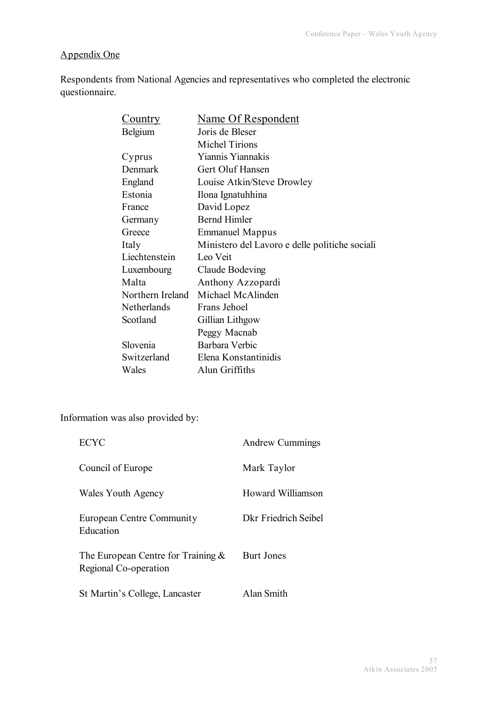# Appendix One

Respondents from National Agencies and representatives who completed the electronic questionnaire.

| <b>Country</b>   | <b>Name Of Respondent</b>                      |
|------------------|------------------------------------------------|
| <b>Belgium</b>   | Joris de Bleser                                |
|                  | <b>Michel Tirions</b>                          |
| Cyprus           | Yiannis Yiannakis                              |
| Denmark          | Gert Oluf Hansen                               |
| England          | Louise Atkin/Steve Drowley                     |
| Estonia          | Ilona Ignatuhhina                              |
| France           | David Lopez                                    |
| Germany          | <b>Bernd Himler</b>                            |
| Greece           | <b>Emmanuel Mappus</b>                         |
| Italy            | Ministero del Lavoro e delle politiche sociali |
| Liechtenstein    | Leo Veit                                       |
| Luxembourg       | Claude Bodeving                                |
| Malta            | Anthony Azzopardi                              |
| Northern Ireland | Michael McAlinden                              |
| Netherlands      | Frans Jehoel                                   |
| Scotland         | Gillian Lithgow                                |
|                  | Peggy Macnab                                   |
| Slovenia         | Barbara Verbic                                 |
| Switzerland      | Elena Konstantinidis                           |
| Wales            | Alun Griffiths                                 |

Information was also provided by:

| <b>ECYC</b>                                                    | <b>Andrew Cummings</b> |
|----------------------------------------------------------------|------------------------|
| Council of Europe                                              | Mark Taylor            |
| Wales Youth Agency                                             | Howard Williamson      |
| European Centre Community<br>Education                         | Dkr Friedrich Seibel   |
| The European Centre for Training $\&$<br>Regional Co-operation | Burt Jones             |
| St Martin's College, Lancaster                                 | Alan Smith             |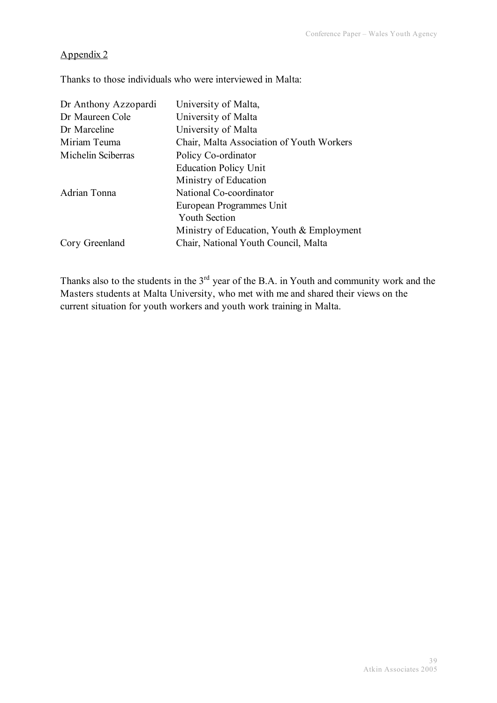# Appendix 2

Thanks to those individuals who were interviewed in Malta:

| Dr Anthony Azzopardi | University of Malta,                      |
|----------------------|-------------------------------------------|
| Dr Maureen Cole      | University of Malta                       |
| Dr Marceline         | University of Malta                       |
| Miriam Teuma         | Chair, Malta Association of Youth Workers |
| Michelin Sciberras   | Policy Co-ordinator                       |
|                      | <b>Education Policy Unit</b>              |
|                      | Ministry of Education                     |
| Adrian Tonna         | National Co-coordinator                   |
|                      | European Programmes Unit                  |
|                      | <b>Youth Section</b>                      |
|                      | Ministry of Education, Youth & Employment |
| Cory Greenland       | Chair, National Youth Council, Malta      |

Thanks also to the students in the 3<sup>rd</sup> year of the B.A. in Youth and community work and the Masters students at Malta University, who met with me and shared their views on the current situation for youth workers and youth work training in Malta.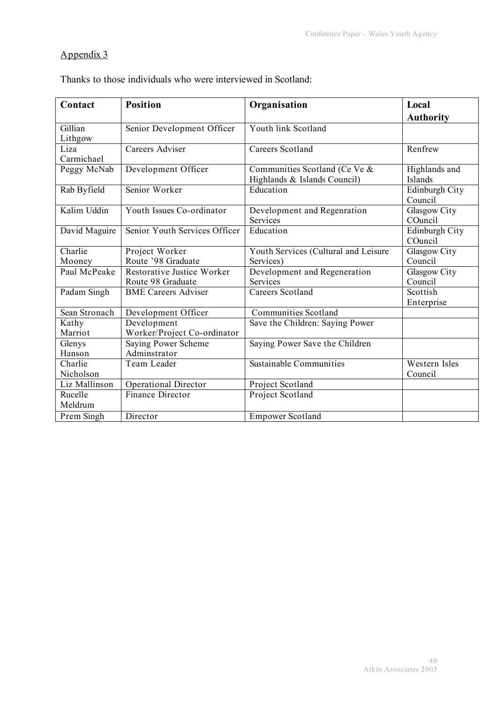# Appendix 3

Thanks to those individuals who were interviewed in Scotland:

| Contact       | <b>Position</b>               | Organisation                         | Local            |
|---------------|-------------------------------|--------------------------------------|------------------|
|               |                               |                                      | <b>Authority</b> |
| Gillian       | Senior Development Officer    | Youth link Scotland                  |                  |
| Lithgow       |                               |                                      |                  |
| Liza          | Careers Adviser               | Careers Scotland                     | Renfrew          |
| Carmichael    |                               |                                      |                  |
| Peggy McNab   | Development Officer           | Communities Scotland (Ce Ve &        | Highlands and    |
|               |                               | Highlands & Islands Council)         | Islands          |
| Rab Byfield   | Senior Worker                 | Education                            | Edinburgh City   |
|               |                               |                                      | Council          |
| Kalim Uddin   | Youth Issues Co-ordinator     | Development and Regenration          | Glasgow City     |
|               |                               | Services                             | COuncil          |
| David Maguire | Senior Youth Services Officer | Education                            | Edinburgh City   |
|               |                               |                                      | COuncil          |
| Charlie       | Project Worker                | Youth Services (Cultural and Leisure | Glasgow City     |
| Mooney        | Route '98 Graduate            | Services)                            | Council          |
| Paul McPeake  | Restorative Justice Worker    | Development and Regeneration         | Glasgow City     |
|               | Route 98 Graduate             | Services                             | Council          |
| Padam Singh   | <b>BME Careers Adviser</b>    | Careers Scotland                     | Scottish         |
|               |                               |                                      | Enterprise       |
| Sean Stronach | Development Officer           | <b>Communities Scotland</b>          |                  |
| Kathy         | Development                   | Save the Children: Saying Power      |                  |
| Marriot       | Worker/Project Co-ordinator   |                                      |                  |
| Glenys        | Saying Power Scheme           | Saying Power Save the Children       |                  |
| Hanson        | Adminstrator                  |                                      |                  |
| Charlie       | Team Leader                   | <b>Sustainable Communities</b>       | Western Isles    |
| Nicholson     |                               |                                      | Council          |
| Liz Mallinson | <b>Operational Director</b>   | Project Scotland                     |                  |
| Rucelle       | <b>Finance Director</b>       | Project Scotland                     |                  |
| Meldrum       |                               |                                      |                  |
| Prem Singh    | Director                      | <b>Empower Scotland</b>              |                  |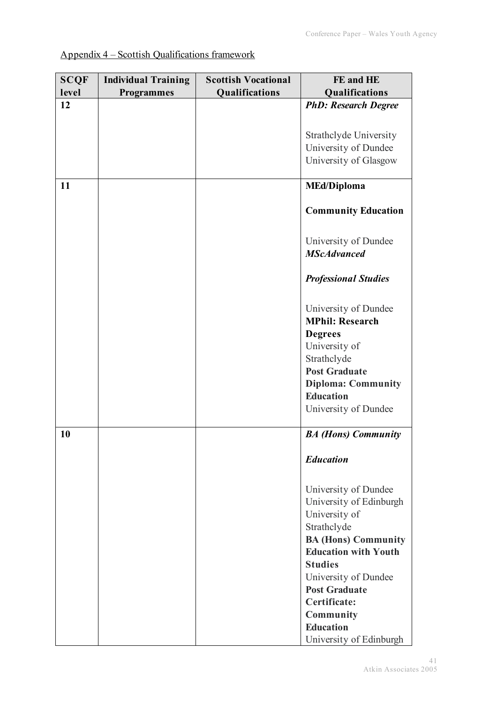| <b>SCQF</b> | <b>Individual Training</b> | <b>Scottish Vocational</b> | FE and HE                   |
|-------------|----------------------------|----------------------------|-----------------------------|
| level       | <b>Programmes</b>          | Qualifications             | Qualifications              |
| 12          |                            |                            | <b>PhD: Research Degree</b> |
|             |                            |                            |                             |
|             |                            |                            | Strathclyde University      |
|             |                            |                            | University of Dundee        |
|             |                            |                            | University of Glasgow       |
|             |                            |                            |                             |
| 11          |                            |                            | <b>MEd/Diploma</b>          |
|             |                            |                            |                             |
|             |                            |                            | <b>Community Education</b>  |
|             |                            |                            |                             |
|             |                            |                            | University of Dundee        |
|             |                            |                            | <b>MScAdvanced</b>          |
|             |                            |                            | <b>Professional Studies</b> |
|             |                            |                            | University of Dundee        |
|             |                            |                            | <b>MPhil: Research</b>      |
|             |                            |                            | <b>Degrees</b>              |
|             |                            |                            | University of               |
|             |                            |                            | Strathclyde                 |
|             |                            |                            | <b>Post Graduate</b>        |
|             |                            |                            | <b>Diploma: Community</b>   |
|             |                            |                            | <b>Education</b>            |
|             |                            |                            | University of Dundee        |
|             |                            |                            |                             |
| 10          |                            |                            | <b>BA</b> (Hons) Community  |
|             |                            |                            | <b>Education</b>            |
|             |                            |                            | University of Dundee        |
|             |                            |                            | University of Edinburgh     |
|             |                            |                            | University of               |
|             |                            |                            | Strathclyde                 |
|             |                            |                            | <b>BA (Hons) Community</b>  |
|             |                            |                            | <b>Education with Youth</b> |
|             |                            |                            | <b>Studies</b>              |
|             |                            |                            | University of Dundee        |
|             |                            |                            | <b>Post Graduate</b>        |
|             |                            |                            | Certificate:                |
|             |                            |                            | Community                   |
|             |                            |                            | <b>Education</b>            |
|             |                            |                            | University of Edinburgh     |

# Appendix 4 – Scottish Qualifications framework